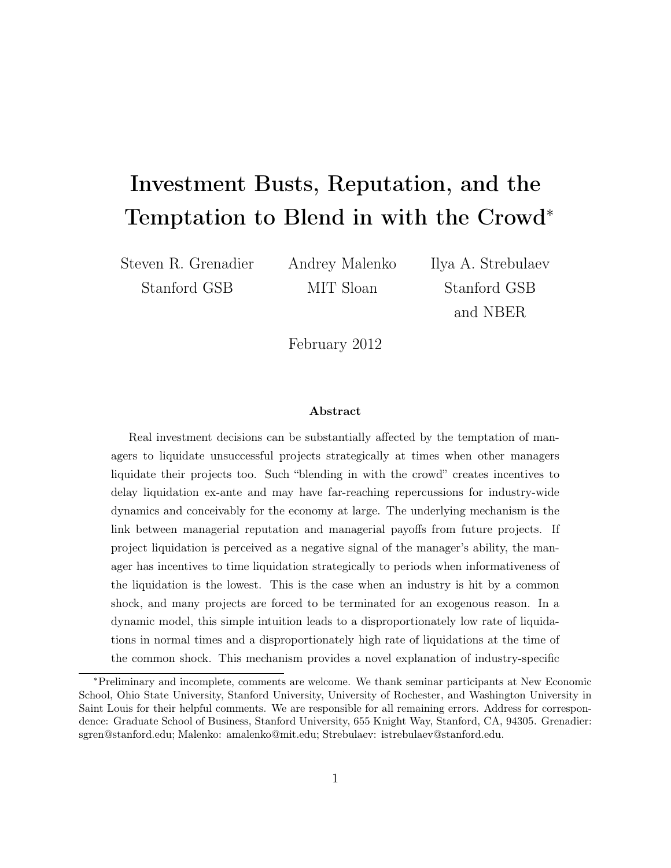# Investment Busts, Reputation, and the Temptation to Blend in with the Crowd<sup>∗</sup>

Steven R. Grenadier Stanford GSB

Andrey Malenko MIT Sloan

Ilya A. Strebulaev Stanford GSB and NBER

February 2012

#### Abstract

Real investment decisions can be substantially affected by the temptation of managers to liquidate unsuccessful projects strategically at times when other managers liquidate their projects too. Such "blending in with the crowd" creates incentives to delay liquidation ex-ante and may have far-reaching repercussions for industry-wide dynamics and conceivably for the economy at large. The underlying mechanism is the link between managerial reputation and managerial payoffs from future projects. If project liquidation is perceived as a negative signal of the manager's ability, the manager has incentives to time liquidation strategically to periods when informativeness of the liquidation is the lowest. This is the case when an industry is hit by a common shock, and many projects are forced to be terminated for an exogenous reason. In a dynamic model, this simple intuition leads to a disproportionately low rate of liquidations in normal times and a disproportionately high rate of liquidations at the time of the common shock. This mechanism provides a novel explanation of industry-specific

<sup>∗</sup>Preliminary and incomplete, comments are welcome. We thank seminar participants at New Economic School, Ohio State University, Stanford University, University of Rochester, and Washington University in Saint Louis for their helpful comments. We are responsible for all remaining errors. Address for correspondence: Graduate School of Business, Stanford University, 655 Knight Way, Stanford, CA, 94305. Grenadier: sgren@stanford.edu; Malenko: amalenko@mit.edu; Strebulaev: istrebulaev@stanford.edu.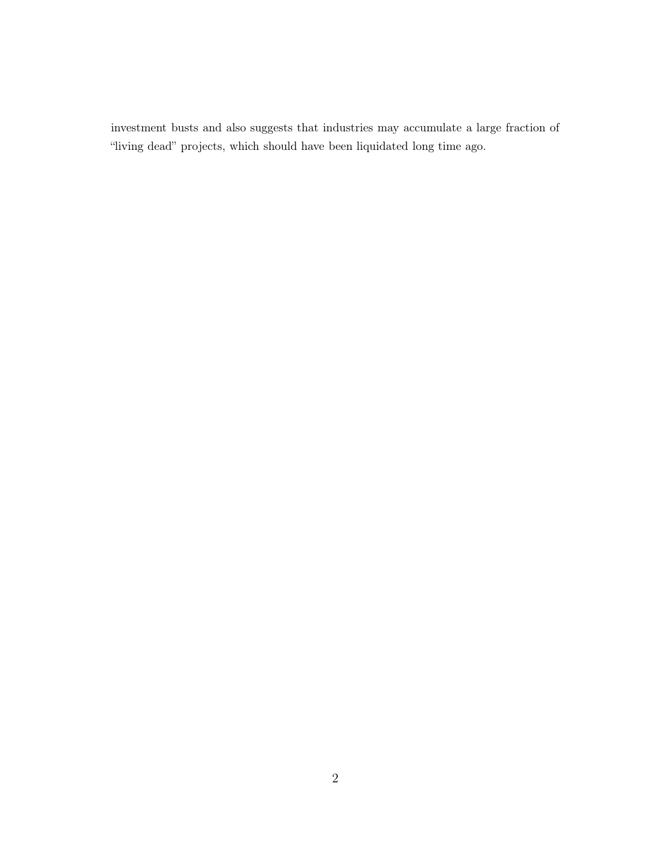investment busts and also suggests that industries may accumulate a large fraction of "living dead" projects, which should have been liquidated long time ago.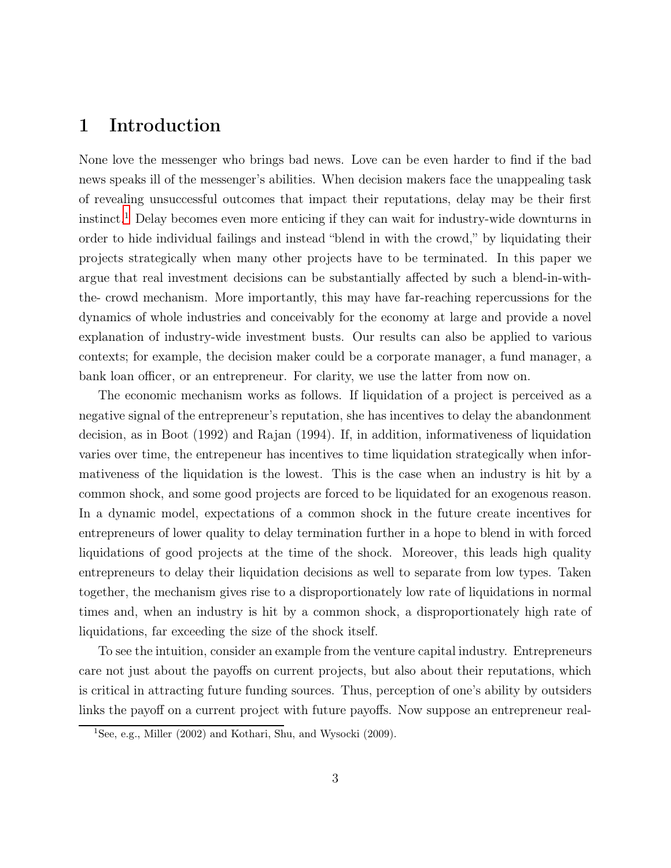# 1 Introduction

None love the messenger who brings bad news. Love can be even harder to find if the bad news speaks ill of the messenger's abilities. When decision makers face the unappealing task of revealing unsuccessful outcomes that impact their reputations, delay may be their first instinct.[1](#page-2-0) Delay becomes even more enticing if they can wait for industry-wide downturns in order to hide individual failings and instead "blend in with the crowd," by liquidating their projects strategically when many other projects have to be terminated. In this paper we argue that real investment decisions can be substantially affected by such a blend-in-withthe- crowd mechanism. More importantly, this may have far-reaching repercussions for the dynamics of whole industries and conceivably for the economy at large and provide a novel explanation of industry-wide investment busts. Our results can also be applied to various contexts; for example, the decision maker could be a corporate manager, a fund manager, a bank loan officer, or an entrepreneur. For clarity, we use the latter from now on.

The economic mechanism works as follows. If liquidation of a project is perceived as a negative signal of the entrepreneur's reputation, she has incentives to delay the abandonment decision, as in Boot (1992) and Rajan (1994). If, in addition, informativeness of liquidation varies over time, the entrepeneur has incentives to time liquidation strategically when informativeness of the liquidation is the lowest. This is the case when an industry is hit by a common shock, and some good projects are forced to be liquidated for an exogenous reason. In a dynamic model, expectations of a common shock in the future create incentives for entrepreneurs of lower quality to delay termination further in a hope to blend in with forced liquidations of good projects at the time of the shock. Moreover, this leads high quality entrepreneurs to delay their liquidation decisions as well to separate from low types. Taken together, the mechanism gives rise to a disproportionately low rate of liquidations in normal times and, when an industry is hit by a common shock, a disproportionately high rate of liquidations, far exceeding the size of the shock itself.

To see the intuition, consider an example from the venture capital industry. Entrepreneurs care not just about the payoffs on current projects, but also about their reputations, which is critical in attracting future funding sources. Thus, perception of one's ability by outsiders links the payoff on a current project with future payoffs. Now suppose an entrepreneur real-

<span id="page-2-0"></span><sup>&</sup>lt;sup>1</sup>See, e.g., Miller  $(2002)$  and Kothari, Shu, and Wysocki  $(2009)$ .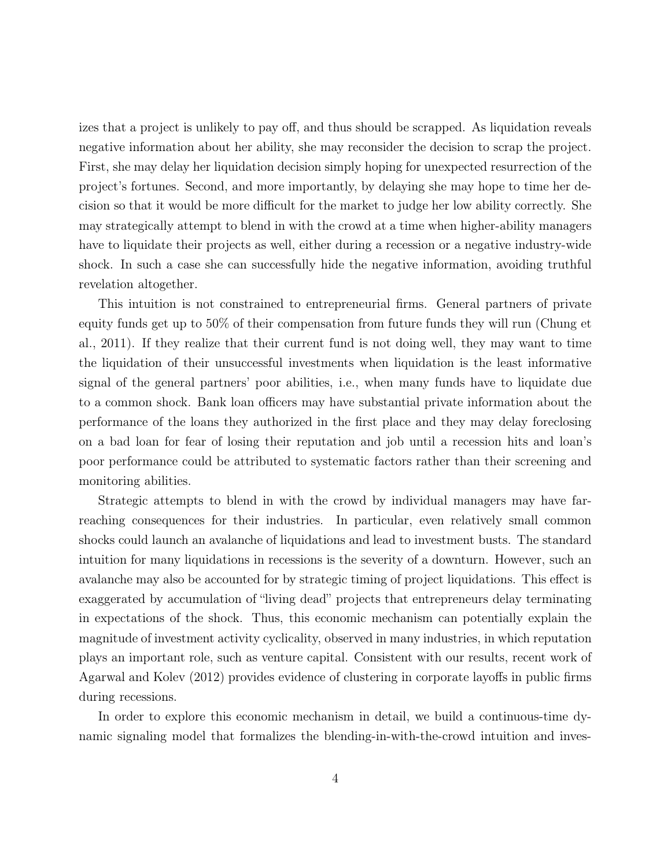izes that a project is unlikely to pay off, and thus should be scrapped. As liquidation reveals negative information about her ability, she may reconsider the decision to scrap the project. First, she may delay her liquidation decision simply hoping for unexpected resurrection of the project's fortunes. Second, and more importantly, by delaying she may hope to time her decision so that it would be more difficult for the market to judge her low ability correctly. She may strategically attempt to blend in with the crowd at a time when higher-ability managers have to liquidate their projects as well, either during a recession or a negative industry-wide shock. In such a case she can successfully hide the negative information, avoiding truthful revelation altogether.

This intuition is not constrained to entrepreneurial firms. General partners of private equity funds get up to 50% of their compensation from future funds they will run (Chung et al., 2011). If they realize that their current fund is not doing well, they may want to time the liquidation of their unsuccessful investments when liquidation is the least informative signal of the general partners' poor abilities, i.e., when many funds have to liquidate due to a common shock. Bank loan officers may have substantial private information about the performance of the loans they authorized in the first place and they may delay foreclosing on a bad loan for fear of losing their reputation and job until a recession hits and loan's poor performance could be attributed to systematic factors rather than their screening and monitoring abilities.

Strategic attempts to blend in with the crowd by individual managers may have farreaching consequences for their industries. In particular, even relatively small common shocks could launch an avalanche of liquidations and lead to investment busts. The standard intuition for many liquidations in recessions is the severity of a downturn. However, such an avalanche may also be accounted for by strategic timing of project liquidations. This effect is exaggerated by accumulation of "living dead" projects that entrepreneurs delay terminating in expectations of the shock. Thus, this economic mechanism can potentially explain the magnitude of investment activity cyclicality, observed in many industries, in which reputation plays an important role, such as venture capital. Consistent with our results, recent work of Agarwal and Kolev (2012) provides evidence of clustering in corporate layoffs in public firms during recessions.

In order to explore this economic mechanism in detail, we build a continuous-time dynamic signaling model that formalizes the blending-in-with-the-crowd intuition and inves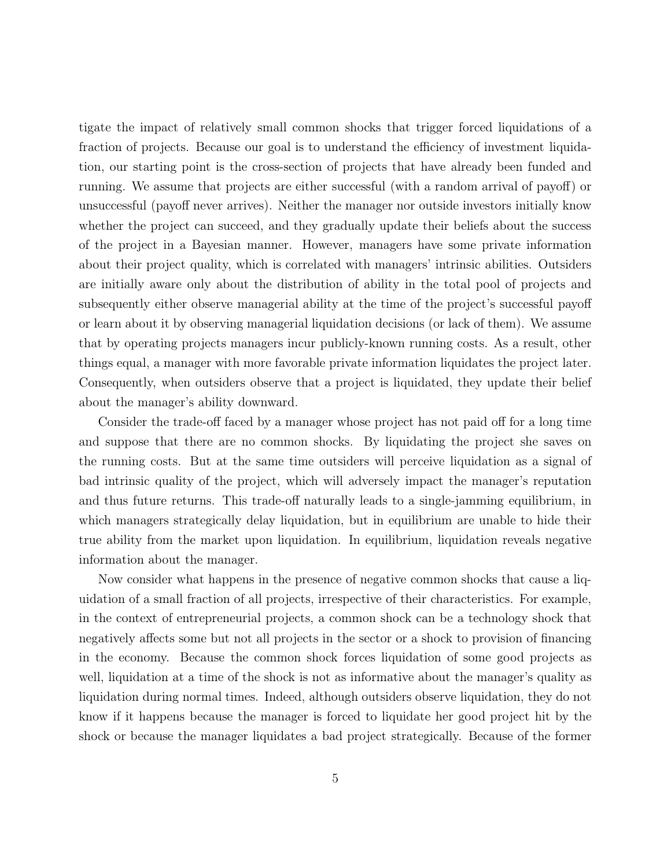tigate the impact of relatively small common shocks that trigger forced liquidations of a fraction of projects. Because our goal is to understand the efficiency of investment liquidation, our starting point is the cross-section of projects that have already been funded and running. We assume that projects are either successful (with a random arrival of payoff) or unsuccessful (payoff never arrives). Neither the manager nor outside investors initially know whether the project can succeed, and they gradually update their beliefs about the success of the project in a Bayesian manner. However, managers have some private information about their project quality, which is correlated with managers' intrinsic abilities. Outsiders are initially aware only about the distribution of ability in the total pool of projects and subsequently either observe managerial ability at the time of the project's successful payoff or learn about it by observing managerial liquidation decisions (or lack of them). We assume that by operating projects managers incur publicly-known running costs. As a result, other things equal, a manager with more favorable private information liquidates the project later. Consequently, when outsiders observe that a project is liquidated, they update their belief about the manager's ability downward.

Consider the trade-off faced by a manager whose project has not paid off for a long time and suppose that there are no common shocks. By liquidating the project she saves on the running costs. But at the same time outsiders will perceive liquidation as a signal of bad intrinsic quality of the project, which will adversely impact the manager's reputation and thus future returns. This trade-off naturally leads to a single-jamming equilibrium, in which managers strategically delay liquidation, but in equilibrium are unable to hide their true ability from the market upon liquidation. In equilibrium, liquidation reveals negative information about the manager.

Now consider what happens in the presence of negative common shocks that cause a liquidation of a small fraction of all projects, irrespective of their characteristics. For example, in the context of entrepreneurial projects, a common shock can be a technology shock that negatively affects some but not all projects in the sector or a shock to provision of financing in the economy. Because the common shock forces liquidation of some good projects as well, liquidation at a time of the shock is not as informative about the manager's quality as liquidation during normal times. Indeed, although outsiders observe liquidation, they do not know if it happens because the manager is forced to liquidate her good project hit by the shock or because the manager liquidates a bad project strategically. Because of the former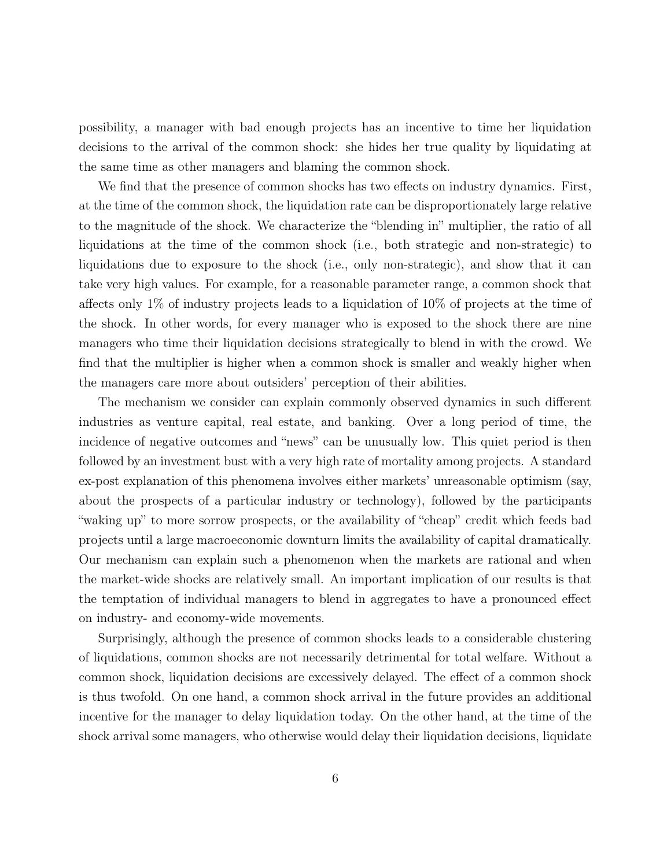possibility, a manager with bad enough projects has an incentive to time her liquidation decisions to the arrival of the common shock: she hides her true quality by liquidating at the same time as other managers and blaming the common shock.

We find that the presence of common shocks has two effects on industry dynamics. First, at the time of the common shock, the liquidation rate can be disproportionately large relative to the magnitude of the shock. We characterize the "blending in" multiplier, the ratio of all liquidations at the time of the common shock (i.e., both strategic and non-strategic) to liquidations due to exposure to the shock (i.e., only non-strategic), and show that it can take very high values. For example, for a reasonable parameter range, a common shock that affects only 1% of industry projects leads to a liquidation of 10% of projects at the time of the shock. In other words, for every manager who is exposed to the shock there are nine managers who time their liquidation decisions strategically to blend in with the crowd. We find that the multiplier is higher when a common shock is smaller and weakly higher when the managers care more about outsiders' perception of their abilities.

The mechanism we consider can explain commonly observed dynamics in such different industries as venture capital, real estate, and banking. Over a long period of time, the incidence of negative outcomes and "news" can be unusually low. This quiet period is then followed by an investment bust with a very high rate of mortality among projects. A standard ex-post explanation of this phenomena involves either markets' unreasonable optimism (say, about the prospects of a particular industry or technology), followed by the participants "waking up" to more sorrow prospects, or the availability of "cheap" credit which feeds bad projects until a large macroeconomic downturn limits the availability of capital dramatically. Our mechanism can explain such a phenomenon when the markets are rational and when the market-wide shocks are relatively small. An important implication of our results is that the temptation of individual managers to blend in aggregates to have a pronounced effect on industry- and economy-wide movements.

Surprisingly, although the presence of common shocks leads to a considerable clustering of liquidations, common shocks are not necessarily detrimental for total welfare. Without a common shock, liquidation decisions are excessively delayed. The effect of a common shock is thus twofold. On one hand, a common shock arrival in the future provides an additional incentive for the manager to delay liquidation today. On the other hand, at the time of the shock arrival some managers, who otherwise would delay their liquidation decisions, liquidate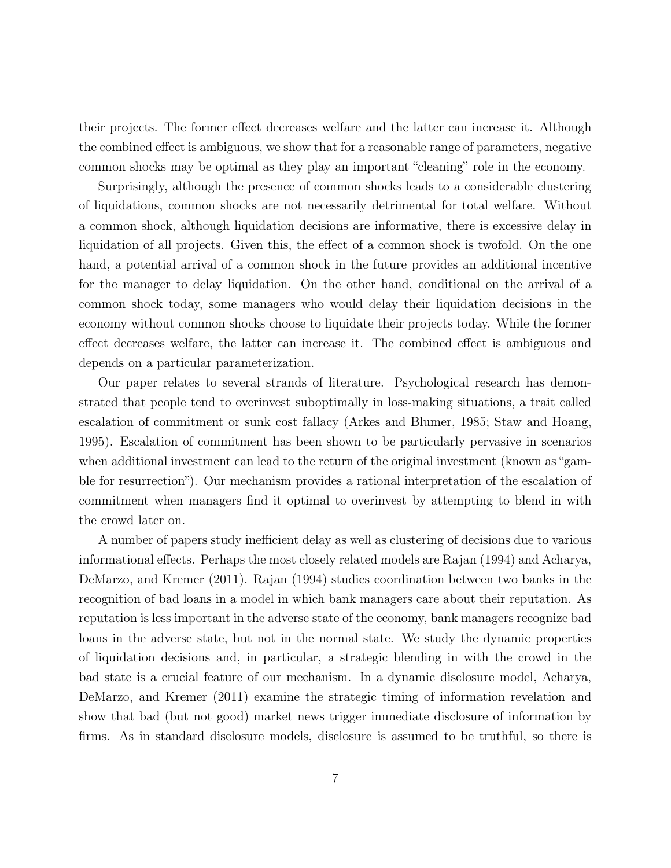their projects. The former effect decreases welfare and the latter can increase it. Although the combined effect is ambiguous, we show that for a reasonable range of parameters, negative common shocks may be optimal as they play an important "cleaning" role in the economy.

Surprisingly, although the presence of common shocks leads to a considerable clustering of liquidations, common shocks are not necessarily detrimental for total welfare. Without a common shock, although liquidation decisions are informative, there is excessive delay in liquidation of all projects. Given this, the effect of a common shock is twofold. On the one hand, a potential arrival of a common shock in the future provides an additional incentive for the manager to delay liquidation. On the other hand, conditional on the arrival of a common shock today, some managers who would delay their liquidation decisions in the economy without common shocks choose to liquidate their projects today. While the former effect decreases welfare, the latter can increase it. The combined effect is ambiguous and depends on a particular parameterization.

Our paper relates to several strands of literature. Psychological research has demonstrated that people tend to overinvest suboptimally in loss-making situations, a trait called escalation of commitment or sunk cost fallacy (Arkes and Blumer, 1985; Staw and Hoang, 1995). Escalation of commitment has been shown to be particularly pervasive in scenarios when additional investment can lead to the return of the original investment (known as "gamble for resurrection"). Our mechanism provides a rational interpretation of the escalation of commitment when managers find it optimal to overinvest by attempting to blend in with the crowd later on.

A number of papers study inefficient delay as well as clustering of decisions due to various informational effects. Perhaps the most closely related models are Rajan (1994) and Acharya, DeMarzo, and Kremer (2011). Rajan (1994) studies coordination between two banks in the recognition of bad loans in a model in which bank managers care about their reputation. As reputation is less important in the adverse state of the economy, bank managers recognize bad loans in the adverse state, but not in the normal state. We study the dynamic properties of liquidation decisions and, in particular, a strategic blending in with the crowd in the bad state is a crucial feature of our mechanism. In a dynamic disclosure model, Acharya, DeMarzo, and Kremer (2011) examine the strategic timing of information revelation and show that bad (but not good) market news trigger immediate disclosure of information by firms. As in standard disclosure models, disclosure is assumed to be truthful, so there is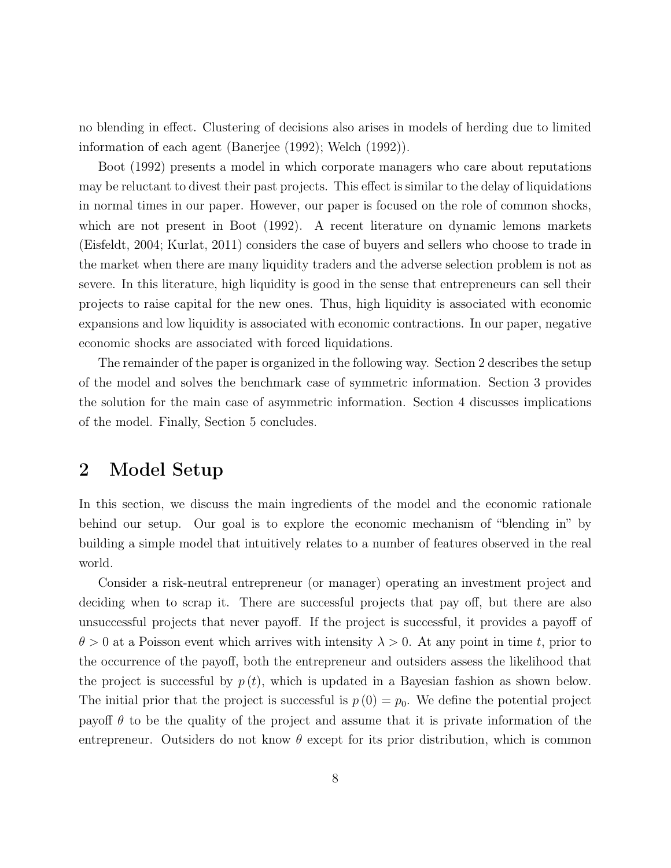no blending in effect. Clustering of decisions also arises in models of herding due to limited information of each agent (Banerjee (1992); Welch (1992)).

Boot (1992) presents a model in which corporate managers who care about reputations may be reluctant to divest their past projects. This effect is similar to the delay of liquidations in normal times in our paper. However, our paper is focused on the role of common shocks, which are not present in Boot (1992). A recent literature on dynamic lemons markets (Eisfeldt, 2004; Kurlat, 2011) considers the case of buyers and sellers who choose to trade in the market when there are many liquidity traders and the adverse selection problem is not as severe. In this literature, high liquidity is good in the sense that entrepreneurs can sell their projects to raise capital for the new ones. Thus, high liquidity is associated with economic expansions and low liquidity is associated with economic contractions. In our paper, negative economic shocks are associated with forced liquidations.

The remainder of the paper is organized in the following way. Section 2 describes the setup of the model and solves the benchmark case of symmetric information. Section 3 provides the solution for the main case of asymmetric information. Section 4 discusses implications of the model. Finally, Section 5 concludes.

# 2 Model Setup

In this section, we discuss the main ingredients of the model and the economic rationale behind our setup. Our goal is to explore the economic mechanism of "blending in" by building a simple model that intuitively relates to a number of features observed in the real world.

Consider a risk-neutral entrepreneur (or manager) operating an investment project and deciding when to scrap it. There are successful projects that pay off, but there are also unsuccessful projects that never payoff. If the project is successful, it provides a payoff of  $\theta > 0$  at a Poisson event which arrives with intensity  $\lambda > 0$ . At any point in time t, prior to the occurrence of the payoff, both the entrepreneur and outsiders assess the likelihood that the project is successful by  $p(t)$ , which is updated in a Bayesian fashion as shown below. The initial prior that the project is successful is  $p(0) = p_0$ . We define the potential project payoff  $\theta$  to be the quality of the project and assume that it is private information of the entrepreneur. Outsiders do not know  $\theta$  except for its prior distribution, which is common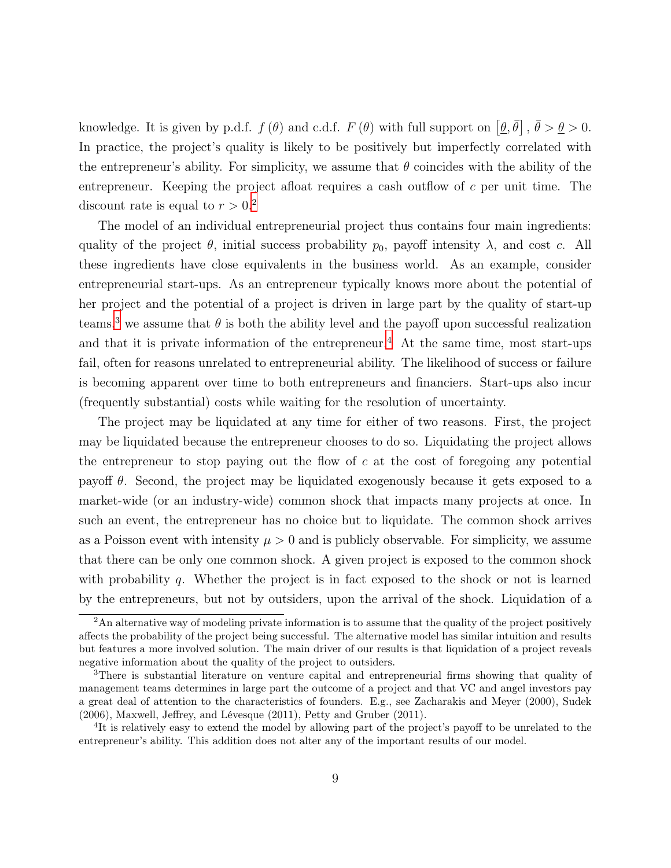knowledge. It is given by p.d.f.  $f(\theta)$  and c.d.f.  $F(\theta)$  with full support on  $[\theta, \bar{\theta}]$ ,  $\bar{\theta} > \theta > 0$ . In practice, the project's quality is likely to be positively but imperfectly correlated with the entrepreneur's ability. For simplicity, we assume that  $\theta$  coincides with the ability of the entrepreneur. Keeping the project afloat requires a cash outflow of  $c$  per unit time. The discount rate is equal to  $r > 0.2$  $r > 0.2$ 

The model of an individual entrepreneurial project thus contains four main ingredients: quality of the project  $\theta$ , initial success probability  $p_0$ , payoff intensity  $\lambda$ , and cost c. All these ingredients have close equivalents in the business world. As an example, consider entrepreneurial start-ups. As an entrepreneur typically knows more about the potential of her project and the potential of a project is driven in large part by the quality of start-up teams,<sup>[3](#page-8-1)</sup> we assume that  $\theta$  is both the ability level and the payoff upon successful realization and that it is private information of the entrepreneur.<sup>[4](#page-8-2)</sup> At the same time, most start-ups fail, often for reasons unrelated to entrepreneurial ability. The likelihood of success or failure is becoming apparent over time to both entrepreneurs and financiers. Start-ups also incur (frequently substantial) costs while waiting for the resolution of uncertainty.

The project may be liquidated at any time for either of two reasons. First, the project may be liquidated because the entrepreneur chooses to do so. Liquidating the project allows the entrepreneur to stop paying out the flow of  $c$  at the cost of foregoing any potential payoff  $\theta$ . Second, the project may be liquidated exogenously because it gets exposed to a market-wide (or an industry-wide) common shock that impacts many projects at once. In such an event, the entrepreneur has no choice but to liquidate. The common shock arrives as a Poisson event with intensity  $\mu > 0$  and is publicly observable. For simplicity, we assume that there can be only one common shock. A given project is exposed to the common shock with probability  $q$ . Whether the project is in fact exposed to the shock or not is learned by the entrepreneurs, but not by outsiders, upon the arrival of the shock. Liquidation of a

<span id="page-8-0"></span><sup>&</sup>lt;sup>2</sup>An alternative way of modeling private information is to assume that the quality of the project positively affects the probability of the project being successful. The alternative model has similar intuition and results but features a more involved solution. The main driver of our results is that liquidation of a project reveals negative information about the quality of the project to outsiders.

<span id="page-8-1"></span><sup>&</sup>lt;sup>3</sup>There is substantial literature on venture capital and entrepreneurial firms showing that quality of management teams determines in large part the outcome of a project and that VC and angel investors pay a great deal of attention to the characteristics of founders. E.g., see Zacharakis and Meyer (2000), Sudek (2006), Maxwell, Jeffrey, and Lévesque (2011), Petty and Gruber (2011).

<span id="page-8-2"></span><sup>&</sup>lt;sup>4</sup>It is relatively easy to extend the model by allowing part of the project's payoff to be unrelated to the entrepreneur's ability. This addition does not alter any of the important results of our model.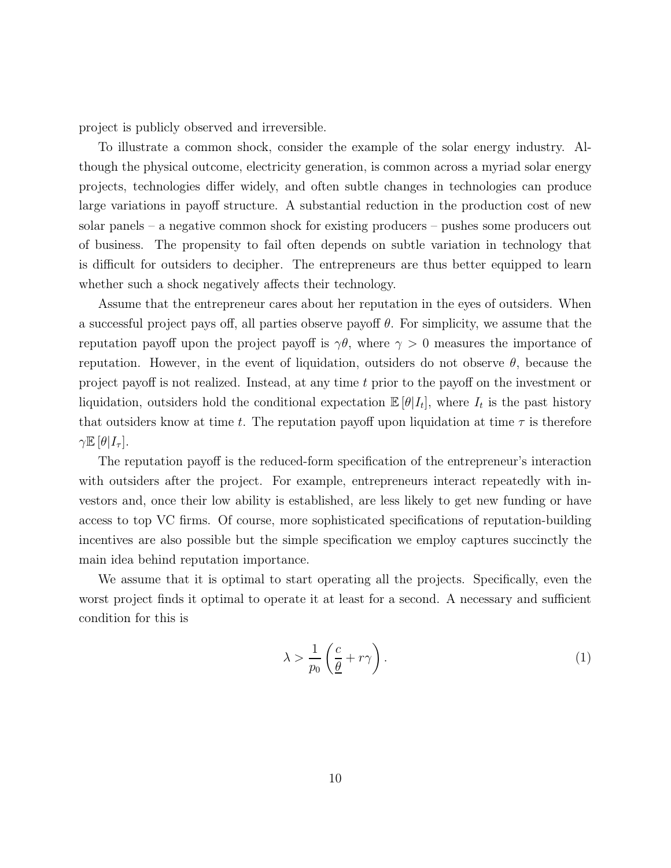project is publicly observed and irreversible.

To illustrate a common shock, consider the example of the solar energy industry. Although the physical outcome, electricity generation, is common across a myriad solar energy projects, technologies differ widely, and often subtle changes in technologies can produce large variations in payoff structure. A substantial reduction in the production cost of new solar panels – a negative common shock for existing producers – pushes some producers out of business. The propensity to fail often depends on subtle variation in technology that is difficult for outsiders to decipher. The entrepreneurs are thus better equipped to learn whether such a shock negatively affects their technology.

Assume that the entrepreneur cares about her reputation in the eyes of outsiders. When a successful project pays off, all parties observe payoff  $\theta$ . For simplicity, we assume that the reputation payoff upon the project payoff is  $\gamma\theta$ , where  $\gamma > 0$  measures the importance of reputation. However, in the event of liquidation, outsiders do not observe  $\theta$ , because the project payoff is not realized. Instead, at any time t prior to the payoff on the investment or liquidation, outsiders hold the conditional expectation  $\mathbb{E}[\theta|I_t]$ , where  $I_t$  is the past history that outsiders know at time t. The reputation payoff upon liquidation at time  $\tau$  is therefore  $\gamma \mathbb{E} [\theta | I_\tau].$ 

The reputation payoff is the reduced-form specification of the entrepreneur's interaction with outsiders after the project. For example, entrepreneurs interact repeatedly with investors and, once their low ability is established, are less likely to get new funding or have access to top VC firms. Of course, more sophisticated specifications of reputation-building incentives are also possible but the simple specification we employ captures succinctly the main idea behind reputation importance.

We assume that it is optimal to start operating all the projects. Specifically, even the worst project finds it optimal to operate it at least for a second. A necessary and sufficient condition for this is

<span id="page-9-0"></span>
$$
\lambda > \frac{1}{p_0} \left( \frac{c}{\underline{\theta}} + r\gamma \right). \tag{1}
$$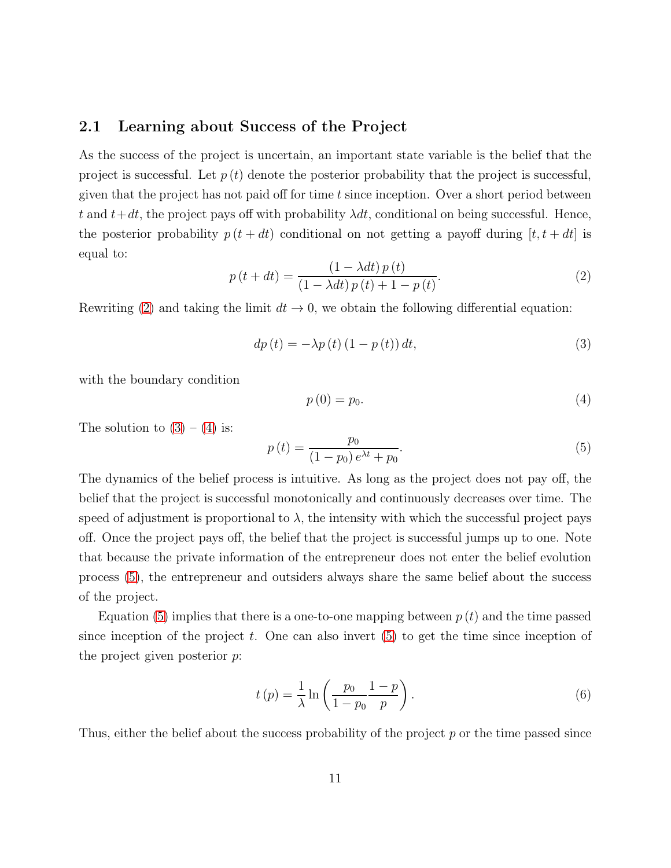#### 2.1 Learning about Success of the Project

As the success of the project is uncertain, an important state variable is the belief that the project is successful. Let  $p(t)$  denote the posterior probability that the project is successful, given that the project has not paid off for time  $t$  since inception. Over a short period between t and  $t+dt$ , the project pays off with probability  $\lambda dt$ , conditional on being successful. Hence, the posterior probability  $p(t + dt)$  conditional on not getting a payoff during  $[t, t + dt]$  is equal to:

<span id="page-10-0"></span>
$$
p(t+dt) = \frac{\left(1 - \lambda dt\right)p\left(t\right)}{\left(1 - \lambda dt\right)p\left(t\right) + 1 - p\left(t\right)}.\tag{2}
$$

Rewriting [\(2\)](#page-10-0) and taking the limit  $dt \to 0$ , we obtain the following differential equation:

<span id="page-10-1"></span>
$$
dp\left(t\right) = -\lambda p\left(t\right)\left(1 - p\left(t\right)\right)dt,\tag{3}
$$

with the boundary condition

<span id="page-10-2"></span>
$$
p(0) = p_0. \tag{4}
$$

The solution to  $(3) - (4)$  $(3) - (4)$  is:

<span id="page-10-3"></span>
$$
p(t) = \frac{p_0}{(1 - p_0)e^{\lambda t} + p_0}.
$$
\n(5)

The dynamics of the belief process is intuitive. As long as the project does not pay off, the belief that the project is successful monotonically and continuously decreases over time. The speed of adjustment is proportional to  $\lambda$ , the intensity with which the successful project pays off. Once the project pays off, the belief that the project is successful jumps up to one. Note that because the private information of the entrepreneur does not enter the belief evolution process [\(5\)](#page-10-3), the entrepreneur and outsiders always share the same belief about the success of the project.

Equation [\(5\)](#page-10-3) implies that there is a one-to-one mapping between  $p(t)$  and the time passed since inception of the project t. One can also invert  $(5)$  to get the time since inception of the project given posterior p:

$$
t(p) = \frac{1}{\lambda} \ln \left( \frac{p_0}{1 - p_0} \frac{1 - p}{p} \right). \tag{6}
$$

Thus, either the belief about the success probability of the project p or the time passed since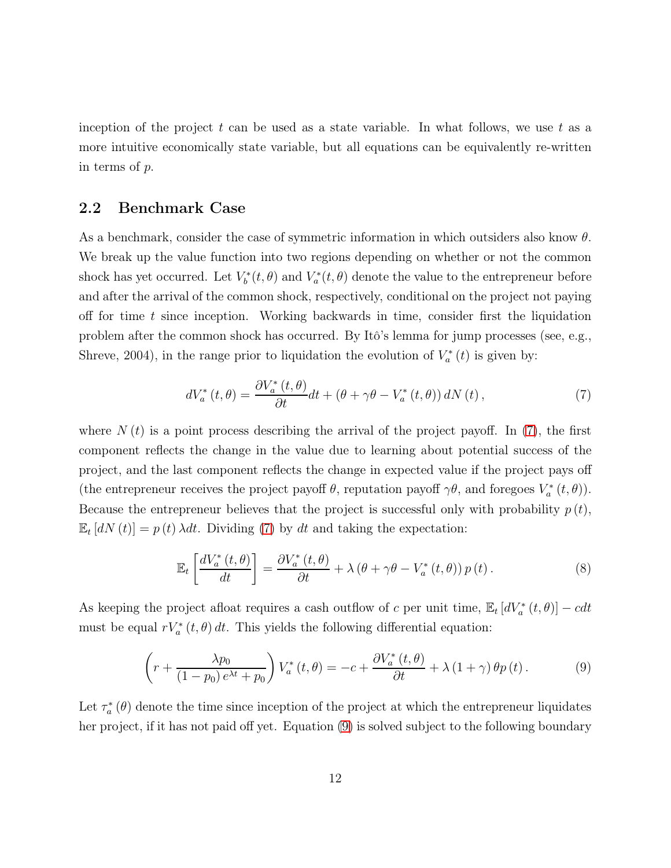inception of the project  $t$  can be used as a state variable. In what follows, we use  $t$  as a more intuitive economically state variable, but all equations can be equivalently re-written in terms of p.

#### 2.2 Benchmark Case

As a benchmark, consider the case of symmetric information in which outsiders also know  $\theta$ . We break up the value function into two regions depending on whether or not the common shock has yet occurred. Let  $V_b^*$  $V_b^*(t, \theta)$  and  $V_a^*$  $\mathcal{L}_{a}^{*}(t, \theta)$  denote the value to the entrepreneur before and after the arrival of the common shock, respectively, conditional on the project not paying off for time  $t$  since inception. Working backwards in time, consider first the liquidation problem after the common shock has occurred. By Itô's lemma for jump processes (see, e.g., Shreve, 2004), in the range prior to liquidation the evolution of  $V_a^*$  $\int_a^*(t)$  is given by:

<span id="page-11-0"></span>
$$
dV_a^*(t,\theta) = \frac{\partial V_a^*(t,\theta)}{\partial t}dt + \left(\theta + \gamma\theta - V_a^*(t,\theta)\right)dN(t),\tag{7}
$$

where  $N(t)$  is a point process describing the arrival of the project payoff. In [\(7\)](#page-11-0), the first component reflects the change in the value due to learning about potential success of the project, and the last component reflects the change in expected value if the project pays off (the entrepreneur receives the project payoff  $\theta$ , reputation payoff  $\gamma\theta$ , and foregoes  $V_a^*$  $\binom{4}{a}(t, \theta)$ . Because the entrepreneur believes that the project is successful only with probability  $p(t)$ ,  $\mathbb{E}_{t} [dN(t)] = p(t) \lambda dt$ . Dividing [\(7\)](#page-11-0) by dt and taking the expectation:

$$
\mathbb{E}_{t}\left[\frac{dV_{a}^{*}\left(t,\theta\right)}{dt}\right]=\frac{\partial V_{a}^{*}\left(t,\theta\right)}{\partial t}+\lambda\left(\theta+\gamma\theta-V_{a}^{*}\left(t,\theta\right)\right)p\left(t\right).
$$
\n(8)

As keeping the project afloat requires a cash outflow of c per unit time,  $\mathbb{E}_t\left[dV_a^*(t, \theta)\right] - cdt$ must be equal  $rV_a^*(t, \theta) dt$ . This yields the following differential equation:

<span id="page-11-1"></span>
$$
\left(r + \frac{\lambda p_0}{(1 - p_0)e^{\lambda t} + p_0}\right) V_a^*(t, \theta) = -c + \frac{\partial V_a^*(t, \theta)}{\partial t} + \lambda (1 + \gamma) \theta p(t).
$$
 (9)

Let  $\tau_a^*$  $a^*_{a}(\theta)$  denote the time since inception of the project at which the entrepreneur liquidates her project, if it has not paid off yet. Equation [\(9\)](#page-11-1) is solved subject to the following boundary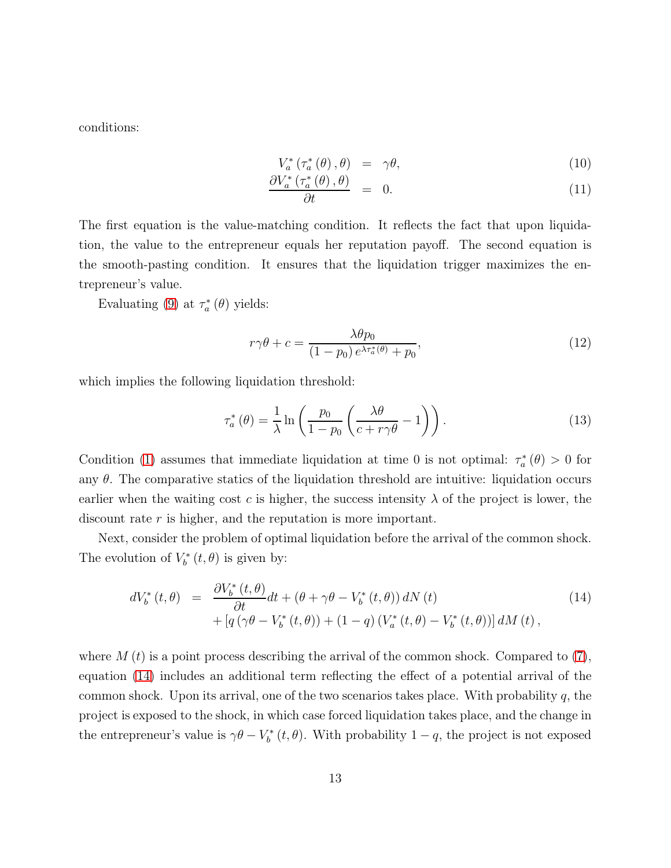conditions:

<span id="page-12-1"></span>
$$
V_a^* \left( \tau_a^* \left( \theta \right), \theta \right) = \gamma \theta, \tag{10}
$$

$$
\frac{\partial V_a^* \left( \tau_a^* \left( \theta \right), \theta \right)}{\partial t} = 0. \tag{11}
$$

The first equation is the value-matching condition. It reflects the fact that upon liquidation, the value to the entrepreneur equals her reputation payoff. The second equation is the smooth-pasting condition. It ensures that the liquidation trigger maximizes the entrepreneur's value.

Evaluating [\(9\)](#page-11-1) at  $\tau_a^*$  $\chi_a^*(\theta)$  yields:

$$
r\gamma\theta + c = \frac{\lambda\theta p_0}{(1 - p_0)e^{\lambda\tau_a^*(\theta)} + p_0},\tag{12}
$$

which implies the following liquidation threshold:

<span id="page-12-2"></span>
$$
\tau_a^*\left(\theta\right) = \frac{1}{\lambda} \ln \left( \frac{p_0}{1 - p_0} \left( \frac{\lambda \theta}{c + r\gamma \theta} - 1 \right) \right). \tag{13}
$$

Condition [\(1\)](#page-9-0) assumes that immediate liquidation at time 0 is not optimal:  $\tau_a^*$  $\chi_a^*\left(\theta\right) > 0$  for any  $\theta$ . The comparative statics of the liquidation threshold are intuitive: liquidation occurs earlier when the waiting cost c is higher, the success intensity  $\lambda$  of the project is lower, the discount rate r is higher, and the reputation is more important.

Next, consider the problem of optimal liquidation before the arrival of the common shock. The evolution of  $V_b^*$  $\int_b^*(t,\theta)$  is given by:

<span id="page-12-0"></span>
$$
dV_b^*(t, \theta) = \frac{\partial V_b^*(t, \theta)}{\partial t} dt + (\theta + \gamma \theta - V_b^*(t, \theta)) dN(t)
$$
  
+ 
$$
[q(\gamma \theta - V_b^*(t, \theta)) + (1 - q)(V_a^*(t, \theta) - V_b^*(t, \theta))] dM(t),
$$
 (14)

where M  $(t)$  is a point process describing the arrival of the common shock. Compared to  $(7)$ , equation [\(14\)](#page-12-0) includes an additional term reflecting the effect of a potential arrival of the common shock. Upon its arrival, one of the two scenarios takes place. With probability q, the project is exposed to the shock, in which case forced liquidation takes place, and the change in the entrepreneur's value is  $\gamma \theta - V_b^*$  $\mathcal{L}_{b}^{*}(t, \theta)$ . With probability  $1 - q$ , the project is not exposed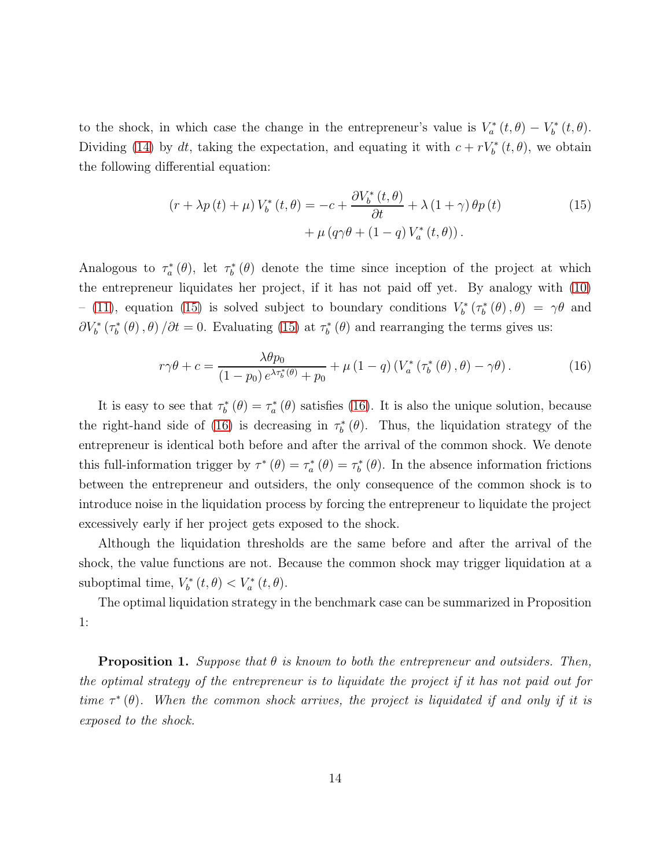to the shock, in which case the change in the entrepreneur's value is  $V_a^*$  $\int_{a}^{*}(t,\theta) - V_{b}^{*}$  $\int_b^* (t, \theta).$ Dividing [\(14\)](#page-12-0) by dt, taking the expectation, and equating it with  $c + rV_b^*(t, \theta)$ , we obtain the following differential equation:

<span id="page-13-0"></span>
$$
(r + \lambda p(t) + \mu) V_b^*(t, \theta) = -c + \frac{\partial V_b^*(t, \theta)}{\partial t} + \lambda (1 + \gamma) \theta p(t) + \mu (q \gamma \theta + (1 - q) V_a^*(t, \theta)).
$$
 (15)

Analogous to  $\tau_a^*$  $\sigma_a^*(\theta)$ , let  $\tau_b^*$  $b<sub>b</sub><sup>*</sup>(\theta)$  denote the time since inception of the project at which the entrepreneur liquidates her project, if it has not paid off yet. By analogy with [\(10\)](#page-12-1)  $-$  [\(11\)](#page-12-1), equation [\(15\)](#page-13-0) is solved subject to boundary conditions  $V_b^*$  $\int_b^{*_*} (\tau_b^*)$  $\gamma_b^*\left(\theta\right),\theta\big) = \gamma\theta$  and  $\partial V_b^*\left(\tau_b^*\right)$  $b_{b}^{*}(\theta), \theta$  / $\partial t = 0$ . Evaluating [\(15\)](#page-13-0) at  $\tau_b^{*}$  $b<sub>b</sub><sup>*</sup>(\theta)$  and rearranging the terms gives us:

<span id="page-13-1"></span>
$$
r\gamma\theta + c = \frac{\lambda\theta p_0}{(1 - p_0)e^{\lambda\tau_b^*(\theta)} + p_0} + \mu(1 - q)\left(V_a^*\left(\tau_b^*(\theta), \theta\right) - \gamma\theta\right). \tag{16}
$$

It is easy to see that  $\tau_b^*$  $\tau_b^*\left(\theta\right) = \tau_a^*$  $a_{a}^{*}(\theta)$  satisfies [\(16\)](#page-13-1). It is also the unique solution, because the right-hand side of [\(16\)](#page-13-1) is decreasing in  $\tau_b^*$  $b<sup>*</sup>(\theta)$ . Thus, the liquidation strategy of the entrepreneur is identical both before and after the arrival of the common shock. We denote this full-information trigger by  $\tau^*(\theta) = \tau_a^*$  $f_a^*\left(\theta\right) = \tau_b^*$  $b<sub>b</sub><sup>*</sup>(\theta)$ . In the absence information frictions between the entrepreneur and outsiders, the only consequence of the common shock is to introduce noise in the liquidation process by forcing the entrepreneur to liquidate the project excessively early if her project gets exposed to the shock.

Although the liquidation thresholds are the same before and after the arrival of the shock, the value functions are not. Because the common shock may trigger liquidation at a suboptimal time,  $V_b^*$  $V_b^*(t, \theta) < V_a^*(t, \theta).$ 

The optimal liquidation strategy in the benchmark case can be summarized in Proposition 1:

**Proposition 1.** Suppose that  $\theta$  is known to both the entrepreneur and outsiders. Then, the optimal strategy of the entrepreneur is to liquidate the project if it has not paid out for time  $\tau^*(\theta)$ . When the common shock arrives, the project is liquidated if and only if it is exposed to the shock.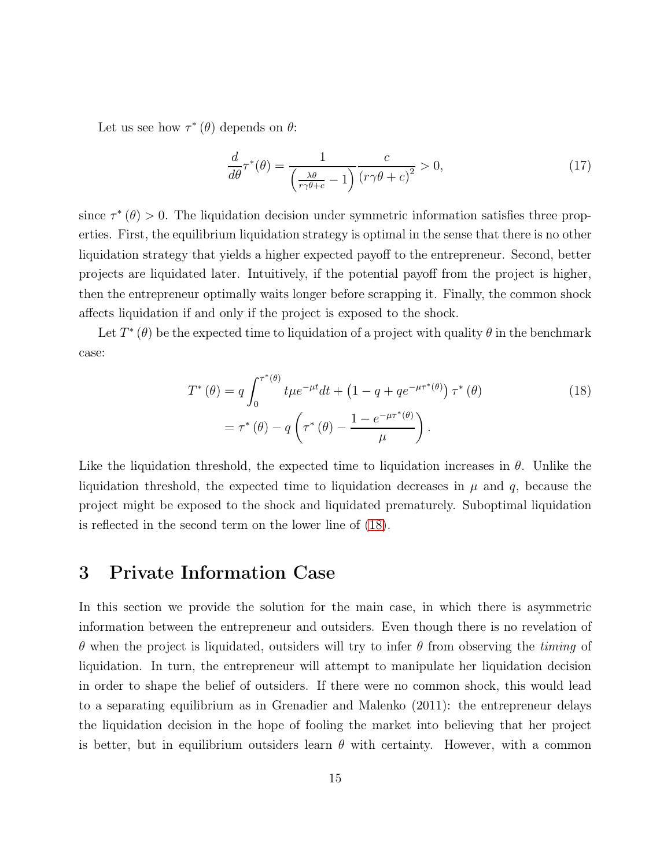Let us see how  $\tau^*(\theta)$  depends on  $\theta$ :

$$
\frac{d}{d\theta}\tau^*(\theta) = \frac{1}{\left(\frac{\lambda\theta}{r\gamma\theta + c} - 1\right)} \frac{c}{\left(r\gamma\theta + c\right)^2} > 0,\tag{17}
$$

since  $\tau^*(\theta) > 0$ . The liquidation decision under symmetric information satisfies three properties. First, the equilibrium liquidation strategy is optimal in the sense that there is no other liquidation strategy that yields a higher expected payoff to the entrepreneur. Second, better projects are liquidated later. Intuitively, if the potential payoff from the project is higher, then the entrepreneur optimally waits longer before scrapping it. Finally, the common shock affects liquidation if and only if the project is exposed to the shock.

Let  $T^*(\theta)$  be the expected time to liquidation of a project with quality  $\theta$  in the benchmark case:

<span id="page-14-0"></span>
$$
T^*(\theta) = q \int_0^{\tau^*(\theta)} t \mu e^{-\mu t} dt + (1 - q + q e^{-\mu \tau^*(\theta)}) \tau^*(\theta)
$$
  
=  $\tau^*(\theta) - q \left(\tau^*(\theta) - \frac{1 - e^{-\mu \tau^*(\theta)}}{\mu}\right).$  (18)

Like the liquidation threshold, the expected time to liquidation increases in  $\theta$ . Unlike the liquidation threshold, the expected time to liquidation decreases in  $\mu$  and  $q$ , because the project might be exposed to the shock and liquidated prematurely. Suboptimal liquidation is reflected in the second term on the lower line of [\(18\)](#page-14-0).

# 3 Private Information Case

In this section we provide the solution for the main case, in which there is asymmetric information between the entrepreneur and outsiders. Even though there is no revelation of θ when the project is liquidated, outsiders will try to infer θ from observing the timing of liquidation. In turn, the entrepreneur will attempt to manipulate her liquidation decision in order to shape the belief of outsiders. If there were no common shock, this would lead to a separating equilibrium as in Grenadier and Malenko (2011): the entrepreneur delays the liquidation decision in the hope of fooling the market into believing that her project is better, but in equilibrium outsiders learn  $\theta$  with certainty. However, with a common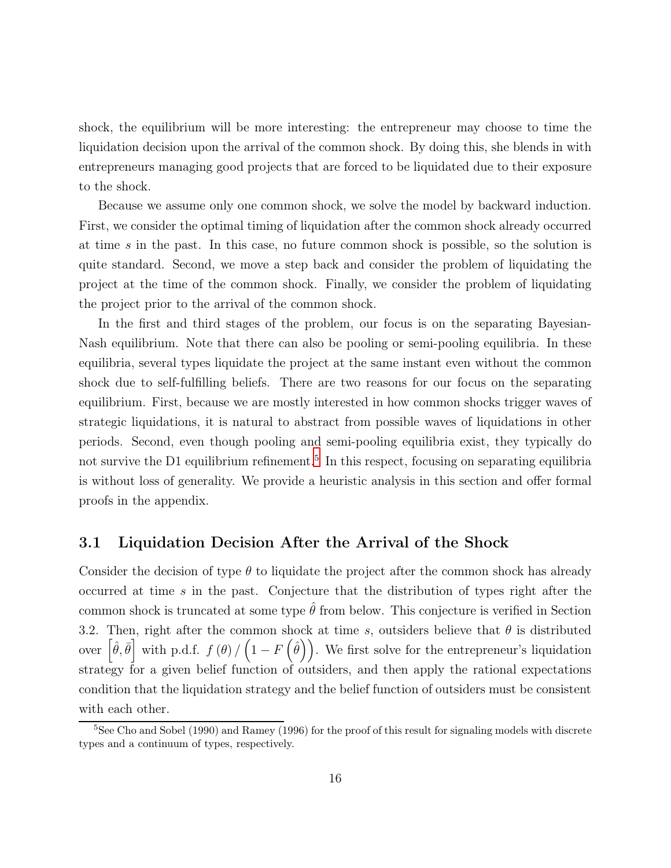shock, the equilibrium will be more interesting: the entrepreneur may choose to time the liquidation decision upon the arrival of the common shock. By doing this, she blends in with entrepreneurs managing good projects that are forced to be liquidated due to their exposure to the shock.

Because we assume only one common shock, we solve the model by backward induction. First, we consider the optimal timing of liquidation after the common shock already occurred at time s in the past. In this case, no future common shock is possible, so the solution is quite standard. Second, we move a step back and consider the problem of liquidating the project at the time of the common shock. Finally, we consider the problem of liquidating the project prior to the arrival of the common shock.

In the first and third stages of the problem, our focus is on the separating Bayesian-Nash equilibrium. Note that there can also be pooling or semi-pooling equilibria. In these equilibria, several types liquidate the project at the same instant even without the common shock due to self-fulfilling beliefs. There are two reasons for our focus on the separating equilibrium. First, because we are mostly interested in how common shocks trigger waves of strategic liquidations, it is natural to abstract from possible waves of liquidations in other periods. Second, even though pooling and semi-pooling equilibria exist, they typically do not survive the D1 equilibrium refinement.<sup>[5](#page-15-0)</sup> In this respect, focusing on separating equilibria is without loss of generality. We provide a heuristic analysis in this section and offer formal proofs in the appendix.

#### 3.1 Liquidation Decision After the Arrival of the Shock

Consider the decision of type  $\theta$  to liquidate the project after the common shock has already occurred at time s in the past. Conjecture that the distribution of types right after the common shock is truncated at some type  $\hat{\theta}$  from below. This conjecture is verified in Section 3.2. Then, right after the common shock at time s, outsiders believe that  $\theta$  is distributed over  $\left[\hat{\theta}, \bar{\theta}\right]$  with p.d.f.  $f(\theta) / (1 - F(\hat{\theta}))$ . We first solve for the entrepreneur's liquidation strategy for a given belief function of outsiders, and then apply the rational expectations condition that the liquidation strategy and the belief function of outsiders must be consistent with each other.

<span id="page-15-0"></span><sup>5</sup>See Cho and Sobel (1990) and Ramey (1996) for the proof of this result for signaling models with discrete types and a continuum of types, respectively.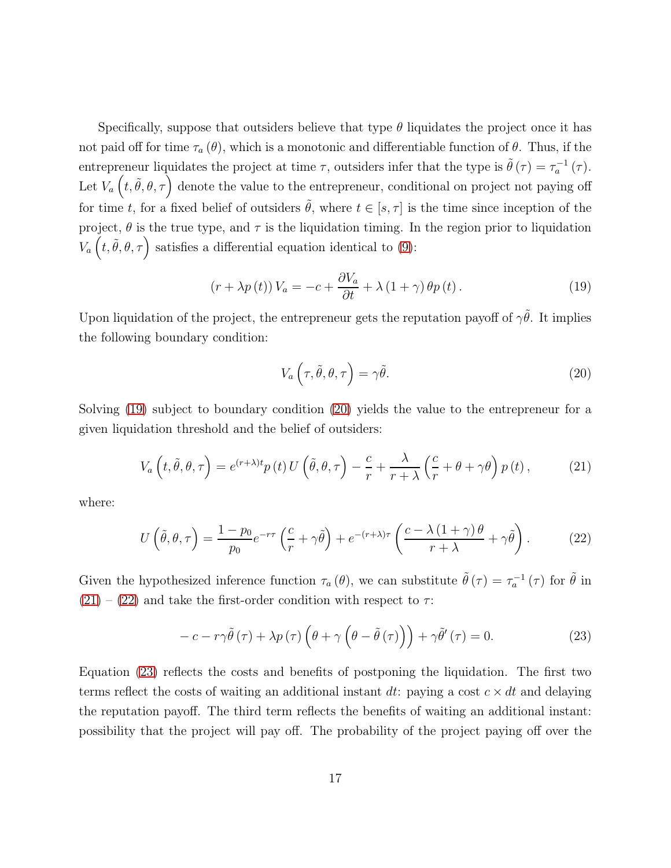Specifically, suppose that outsiders believe that type  $\theta$  liquidates the project once it has not paid off for time  $\tau_a(\theta)$ , which is a monotonic and differentiable function of  $\theta$ . Thus, if the entrepreneur liquidates the project at time  $\tau$ , outsiders infer that the type is  $\tilde{\theta}(\tau) = \tau_a^{-1}(\tau)$ . Let  $V_a\left(t, \tilde{\theta}, \theta, \tau\right)$  denote the value to the entrepreneur, conditional on project not paying off for time t, for a fixed belief of outsiders  $\tilde{\theta}$ , where  $t \in [s, \tau]$  is the time since inception of the project,  $\theta$  is the true type, and  $\tau$  is the liquidation timing. In the region prior to liquidation  $V_a\left(t, \tilde{\theta}, \theta, \tau\right)$  satisfies a differential equation identical to [\(9\)](#page-11-1):

<span id="page-16-0"></span>
$$
(r + \lambda p(t)) V_a = -c + \frac{\partial V_a}{\partial t} + \lambda (1 + \gamma) \theta p(t).
$$
 (19)

Upon liquidation of the project, the entrepreneur gets the reputation payoff of  $\gamma\tilde{\theta}$ . It implies the following boundary condition:

<span id="page-16-1"></span>
$$
V_a\left(\tau,\tilde{\theta},\theta,\tau\right) = \gamma\tilde{\theta}.\tag{20}
$$

Solving [\(19\)](#page-16-0) subject to boundary condition [\(20\)](#page-16-1) yields the value to the entrepreneur for a given liquidation threshold and the belief of outsiders:

<span id="page-16-2"></span>
$$
V_a\left(t,\tilde{\theta},\theta,\tau\right) = e^{(r+\lambda)t}p\left(t\right)U\left(\tilde{\theta},\theta,\tau\right) - \frac{c}{r} + \frac{\lambda}{r+\lambda}\left(\frac{c}{r} + \theta + \gamma\theta\right)p\left(t\right),\tag{21}
$$

where:

<span id="page-16-3"></span>
$$
U\left(\tilde{\theta},\theta,\tau\right) = \frac{1-p_0}{p_0}e^{-r\tau}\left(\frac{c}{r}+\gamma\tilde{\theta}\right) + e^{-(r+\lambda)\tau}\left(\frac{c-\lambda\left(1+\gamma\right)\theta}{r+\lambda}+\gamma\tilde{\theta}\right). \tag{22}
$$

Given the hypothesized inference function  $\tau_a(\theta)$ , we can substitute  $\tilde{\theta}(\tau) = \tau_a^{-1}(\tau)$  for  $\tilde{\theta}$  in  $(21) - (22)$  $(21) - (22)$  $(21) - (22)$  and take the first-order condition with respect to  $\tau$ :

<span id="page-16-4"></span>
$$
-c - r\gamma\tilde{\theta}(\tau) + \lambda p(\tau)\left(\theta + \gamma\left(\theta - \tilde{\theta}(\tau)\right)\right) + \gamma\tilde{\theta}'(\tau) = 0.
$$
 (23)

Equation [\(23\)](#page-16-4) reflects the costs and benefits of postponing the liquidation. The first two terms reflect the costs of waiting an additional instant dt: paying a cost  $c \times dt$  and delaying the reputation payoff. The third term reflects the benefits of waiting an additional instant: possibility that the project will pay off. The probability of the project paying off over the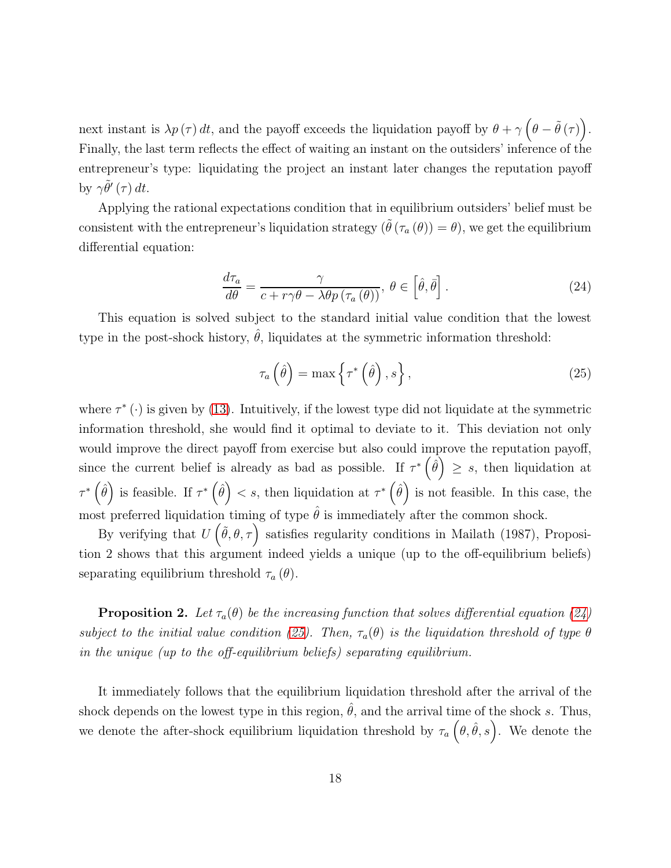next instant is  $\lambda p(\tau) dt$ , and the payoff exceeds the liquidation payoff by  $\theta + \gamma \left( \theta - \tilde{\theta}(\tau) \right)$ . Finally, the last term reflects the effect of waiting an instant on the outsiders' inference of the entrepreneur's type: liquidating the project an instant later changes the reputation payoff by  $\gamma \tilde{\theta}'(\tau) dt$ .

Applying the rational expectations condition that in equilibrium outsiders' belief must be consistent with the entrepreneur's liquidation strategy  $(\tilde{\theta}(\tau_a(\theta))) = \theta$ , we get the equilibrium differential equation:

<span id="page-17-0"></span>
$$
\frac{d\tau_a}{d\theta} = \frac{\gamma}{c + r\gamma\theta - \lambda\theta p\left(\tau_a\left(\theta\right)\right)}, \ \theta \in \left[\hat{\theta}, \bar{\theta}\right].\tag{24}
$$

This equation is solved subject to the standard initial value condition that the lowest type in the post-shock history,  $\hat{\theta}$ , liquidates at the symmetric information threshold:

<span id="page-17-1"></span>
$$
\tau_a\left(\hat{\theta}\right) = \max\left\{\tau^*\left(\hat{\theta}\right), s\right\},\tag{25}
$$

where  $\tau^*$  ( $\cdot$ ) is given by [\(13\)](#page-12-2). Intuitively, if the lowest type did not liquidate at the symmetric information threshold, she would find it optimal to deviate to it. This deviation not only would improve the direct payoff from exercise but also could improve the reputation payoff, since the current belief is already as bad as possible. If  $\tau^*(\hat{\theta}) \geq s$ , then liquidation at  $\tau^*\left(\hat{\theta}\right)$  is feasible. If  $\tau^*\left(\hat{\theta}\right) < s$ , then liquidation at  $\tau^*\left(\hat{\theta}\right)$  is not feasible. In this case, the most preferred liquidation timing of type  $\hat{\theta}$  is immediately after the common shock.

By verifying that  $U(\tilde{\theta}, \theta, \tau)$  satisfies regularity conditions in Mailath (1987), Proposition 2 shows that this argument indeed yields a unique (up to the off-equilibrium beliefs) separating equilibrium threshold  $\tau_a(\theta)$ .

**Proposition 2.** Let  $\tau_a(\theta)$  be the increasing function that solves differential equation [\(24\)](#page-17-0) subject to the initial value condition [\(25\)](#page-17-1). Then,  $\tau_a(\theta)$  is the liquidation threshold of type  $\theta$ in the unique (up to the off-equilibrium beliefs) separating equilibrium.

It immediately follows that the equilibrium liquidation threshold after the arrival of the shock depends on the lowest type in this region,  $\hat{\theta}$ , and the arrival time of the shock s. Thus, we denote the after-shock equilibrium liquidation threshold by  $\tau_a(\theta, \hat{\theta}, s)$ . We denote the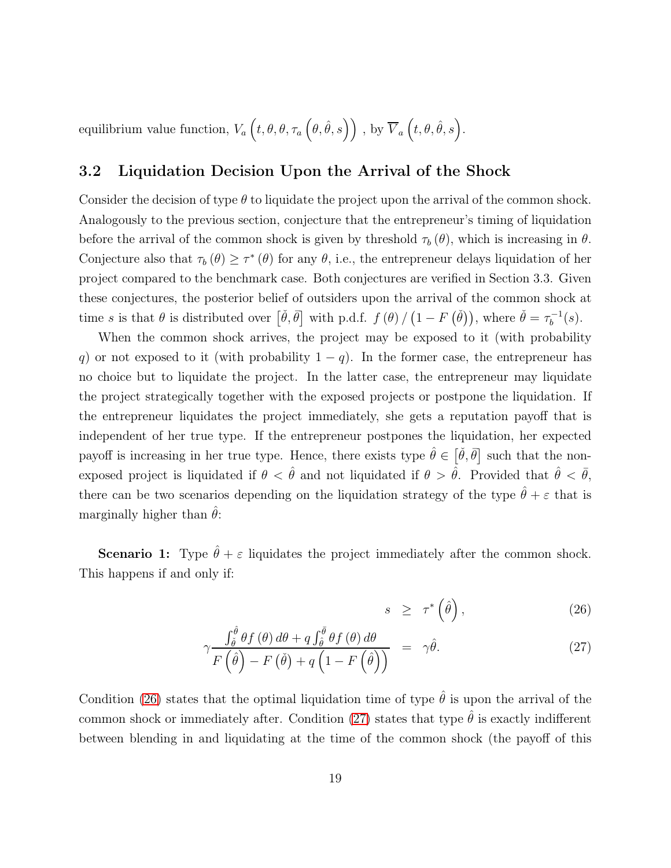equilibrium value function,  $V_a\left(t, \theta, \theta, \tau_a\left(\theta, \hat{\theta}, s\right)\right)$  , by  $\overline{V}_a\left(t, \theta, \hat{\theta}, s\right)$ .

#### 3.2 Liquidation Decision Upon the Arrival of the Shock

Consider the decision of type  $\theta$  to liquidate the project upon the arrival of the common shock. Analogously to the previous section, conjecture that the entrepreneur's timing of liquidation before the arrival of the common shock is given by threshold  $\tau_b (\theta)$ , which is increasing in  $\theta$ . Conjecture also that  $\tau_b(\theta) \geq \tau^*(\theta)$  for any  $\theta$ , i.e., the entrepreneur delays liquidation of her project compared to the benchmark case. Both conjectures are verified in Section 3.3. Given these conjectures, the posterior belief of outsiders upon the arrival of the common shock at time s is that  $\theta$  is distributed over  $\left[\check{\theta}, \bar{\theta}\right]$  with p.d.f.  $f(\theta) / (1 - F(\check{\theta}))$ , where  $\check{\theta} = \tau_b^{-1}$  $b^{-1}(s).$ 

When the common shock arrives, the project may be exposed to it (with probability q) or not exposed to it (with probability  $1 - q$ ). In the former case, the entrepreneur has no choice but to liquidate the project. In the latter case, the entrepreneur may liquidate the project strategically together with the exposed projects or postpone the liquidation. If the entrepreneur liquidates the project immediately, she gets a reputation payoff that is independent of her true type. If the entrepreneur postpones the liquidation, her expected payoff is increasing in her true type. Hence, there exists type  $\hat{\theta} \in [\check{\theta}, \overline{\theta}]$  such that the nonexposed project is liquidated if  $\theta < \hat{\theta}$  and not liquidated if  $\theta > \hat{\theta}$ . Provided that  $\hat{\theta} < \bar{\theta}$ , there can be two scenarios depending on the liquidation strategy of the type  $\hat{\theta} + \varepsilon$  that is marginally higher than  $\theta$ :

**Scenario 1:** Type  $\hat{\theta} + \varepsilon$  liquidates the project immediately after the common shock. This happens if and only if:

<span id="page-18-0"></span>
$$
s \geq \tau^* \left( \hat{\theta} \right), \tag{26}
$$

$$
\gamma \frac{\int_{\tilde{\theta}}^{\hat{\theta}} \theta f(\theta) d\theta + q \int_{\hat{\theta}}^{\bar{\theta}} \theta f(\theta) d\theta}{F(\hat{\theta}) - F(\check{\theta}) + q(1 - F(\hat{\theta}))} = \gamma \hat{\theta}.
$$
\n(27)

Condition [\(26\)](#page-18-0) states that the optimal liquidation time of type  $\hat{\theta}$  is upon the arrival of the common shock or immediately after. Condition [\(27\)](#page-18-0) states that type  $\hat{\theta}$  is exactly indifferent between blending in and liquidating at the time of the common shock (the payoff of this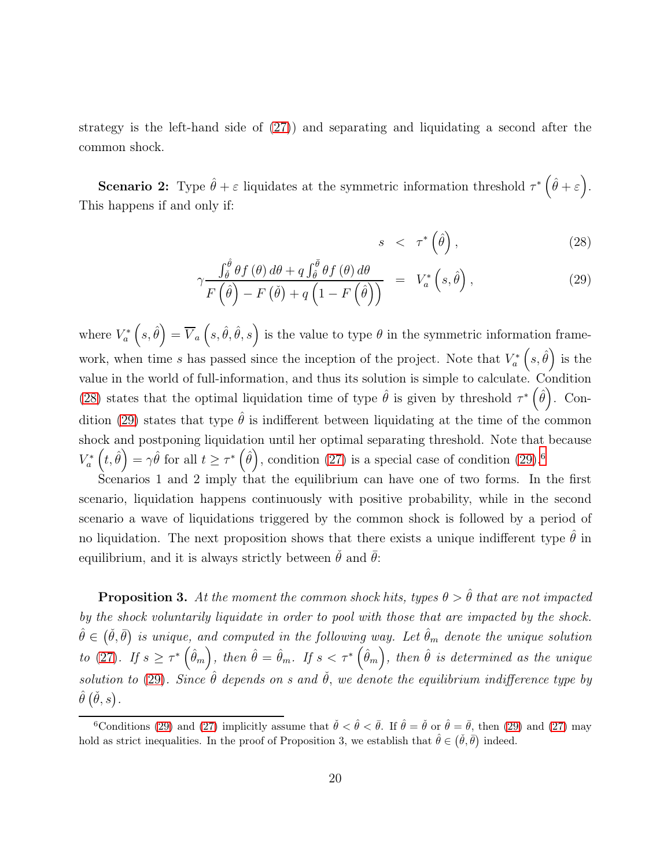strategy is the left-hand side of [\(27\)](#page-18-0)) and separating and liquidating a second after the common shock.

**Scenario 2:** Type  $\hat{\theta} + \varepsilon$  liquidates at the symmetric information threshold  $\tau^* (\hat{\theta} + \varepsilon)$ . This happens if and only if:

<span id="page-19-0"></span>
$$
s \quad < \quad \tau^* \left( \hat{\theta} \right), \tag{28}
$$

$$
\gamma \frac{\int_{\tilde{\theta}}^{\hat{\theta}} \theta f(\theta) d\theta + q \int_{\tilde{\theta}}^{\tilde{\theta}} \theta f(\theta) d\theta}{F(\hat{\theta}) - F(\check{\theta}) + q(1 - F(\hat{\theta}))} = V_a^* (s, \hat{\theta}), \qquad (29)
$$

where  $V_a^*$  $\overline{V}_a^*\left(s,\hat{\theta}\right) = \overline{V}_a\left(s,\hat{\theta},\hat{\theta},s\right)$  is the value to type  $\theta$  in the symmetric information framework, when time s has passed since the inception of the project. Note that  $V_a^*$  $\binom{s}{a}^* \left(s, \hat{\theta}\right)$  is the value in the world of full-information, and thus its solution is simple to calculate. Condition [\(28\)](#page-19-0) states that the optimal liquidation time of type  $\hat{\theta}$  is given by threshold  $\tau^*$   $(\hat{\theta})$ . Con-dition [\(29\)](#page-19-0) states that type  $\hat{\theta}$  is indifferent between liquidating at the time of the common shock and postponing liquidation until her optimal separating threshold. Note that because  $V_a^*$  $\sigma_a^*\left(t,\hat{\theta}\right) = \gamma \hat{\theta}$  for all  $t \geq \tau^*\left(\hat{\theta}\right)$ , condition [\(27\)](#page-18-0) is a special case of condition [\(29\)](#page-19-0).<sup>[6](#page-19-1)</sup>

Scenarios 1 and 2 imply that the equilibrium can have one of two forms. In the first scenario, liquidation happens continuously with positive probability, while in the second scenario a wave of liquidations triggered by the common shock is followed by a period of no liquidation. The next proposition shows that there exists a unique indifferent type  $\hat{\theta}$  in equilibrium, and it is always strictly between  $\check{\theta}$  and  $\bar{\theta}$ :

**Proposition 3.** At the moment the common shock hits, types  $\theta > \hat{\theta}$  that are not impacted by the shock voluntarily liquidate in order to pool with those that are impacted by the shock.  $\hat{\theta} \in (\check{\theta},\bar{\theta})$  is unique, and computed in the following way. Let  $\hat{\theta}_m$  denote the unique solution to [\(27\)](#page-18-0). If  $s \geq \tau^* \left(\hat{\theta}_m \right)$ , then  $\hat{\theta} = \hat{\theta}_m$ . If  $s < \tau^* \left(\hat{\theta}_m \right)$ , then  $\hat{\theta}$  is determined as the unique solution to [\(29\)](#page-19-0). Since  $\hat{\theta}$  depends on s and  $\check{\theta}$ , we denote the equilibrium indifference type by  $\hat{\theta}\left( \check{\theta},s \right)$  .

<span id="page-19-1"></span><sup>&</sup>lt;sup>6</sup>Conditions [\(29\)](#page-19-0) and [\(27\)](#page-18-0) implicitly assume that  $\check{\theta} < \hat{\theta} < \bar{\theta}$ . If  $\hat{\theta} = \check{\theta}$  or  $\hat{\theta} = \bar{\theta}$ , then (29) and (27) may hold as strict inequalities. In the proof of Proposition 3, we establish that  $\hat{\theta} \in (\check{\theta}, \bar{\theta})$  indeed.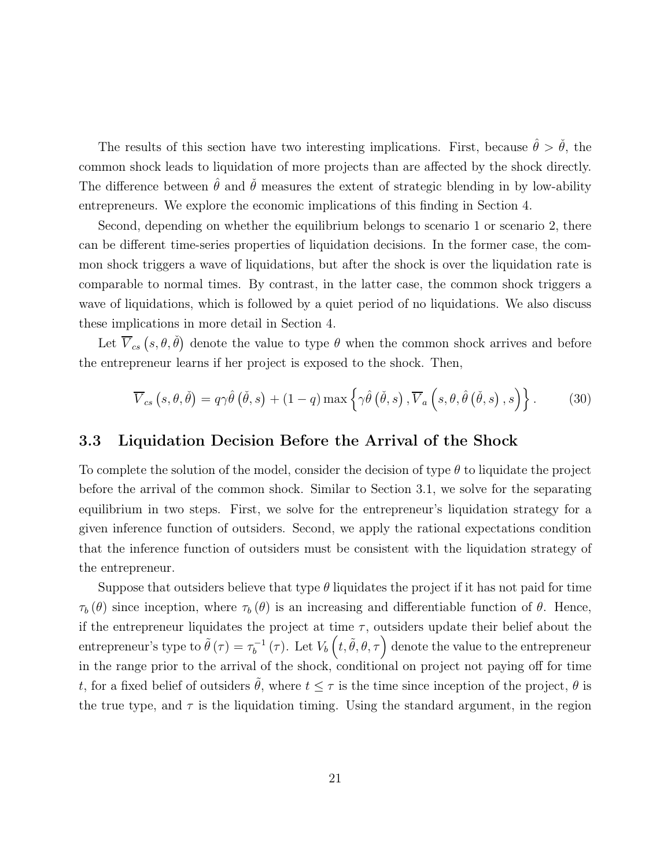The results of this section have two interesting implications. First, because  $\hat{\theta} > \check{\theta}$ , the common shock leads to liquidation of more projects than are affected by the shock directly. The difference between  $\theta$  and  $\theta$  measures the extent of strategic blending in by low-ability entrepreneurs. We explore the economic implications of this finding in Section 4.

Second, depending on whether the equilibrium belongs to scenario 1 or scenario 2, there can be different time-series properties of liquidation decisions. In the former case, the common shock triggers a wave of liquidations, but after the shock is over the liquidation rate is comparable to normal times. By contrast, in the latter case, the common shock triggers a wave of liquidations, which is followed by a quiet period of no liquidations. We also discuss these implications in more detail in Section 4.

Let  $\overline{V}_{cs}(s, \theta, \check{\theta})$  denote the value to type  $\theta$  when the common shock arrives and before the entrepreneur learns if her project is exposed to the shock. Then,

<span id="page-20-0"></span>
$$
\overline{V}_{cs}(s,\theta,\check{\theta}) = q\gamma\hat{\theta}(\check{\theta},s) + (1-q)\max\left\{\gamma\hat{\theta}(\check{\theta},s), \overline{V}_a(s,\theta,\hat{\theta}(\check{\theta},s),s)\right\}.
$$
 (30)

#### 3.3 Liquidation Decision Before the Arrival of the Shock

To complete the solution of the model, consider the decision of type  $\theta$  to liquidate the project before the arrival of the common shock. Similar to Section 3.1, we solve for the separating equilibrium in two steps. First, we solve for the entrepreneur's liquidation strategy for a given inference function of outsiders. Second, we apply the rational expectations condition that the inference function of outsiders must be consistent with the liquidation strategy of the entrepreneur.

Suppose that outsiders believe that type  $\theta$  liquidates the project if it has not paid for time  $\tau_b (\theta)$  since inception, where  $\tau_b (\theta)$  is an increasing and differentiable function of  $\theta$ . Hence, if the entrepreneur liquidates the project at time  $\tau$ , outsiders update their belief about the entrepreneur's type to  $\tilde{\theta}(\tau) = \tau_b^{-1}$  $b_b^{-1}(\tau)$ . Let  $V_b\left(t, \tilde{\theta}, \theta, \tau\right)$  denote the value to the entrepreneur in the range prior to the arrival of the shock, conditional on project not paying off for time t, for a fixed belief of outsiders  $\tilde{\theta}$ , where  $t \leq \tau$  is the time since inception of the project,  $\theta$  is the true type, and  $\tau$  is the liquidation timing. Using the standard argument, in the region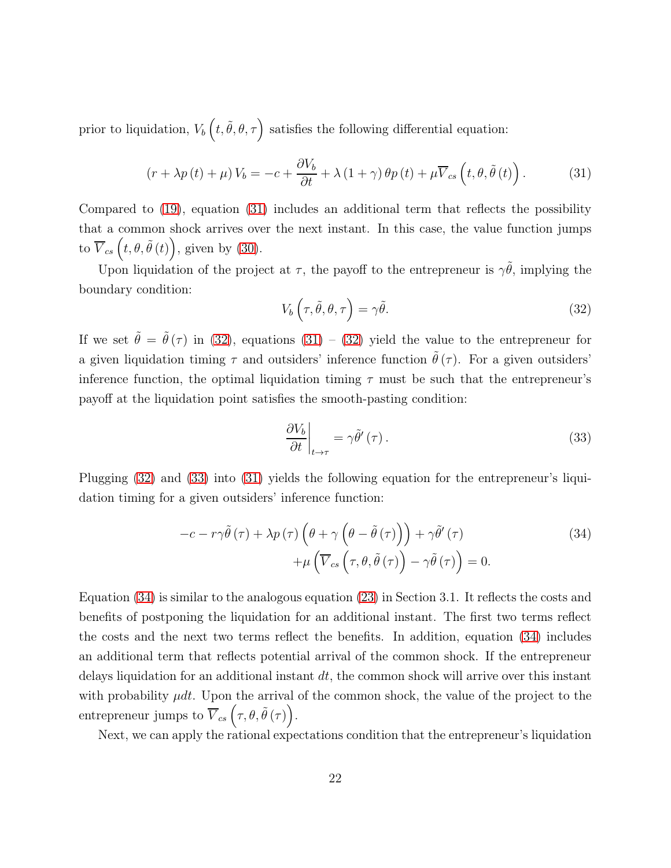prior to liquidation,  $V_b\left(t, \tilde{\theta}, \theta, \tau\right)$  satisfies the following differential equation:

<span id="page-21-0"></span>
$$
\left(r + \lambda p\left(t\right) + \mu\right) V_b = -c + \frac{\partial V_b}{\partial t} + \lambda \left(1 + \gamma\right) \theta p\left(t\right) + \mu \overline{V}_{cs} \left(t, \theta, \tilde{\theta}\left(t\right)\right). \tag{31}
$$

Compared to [\(19\)](#page-16-0), equation [\(31\)](#page-21-0) includes an additional term that reflects the possibility that a common shock arrives over the next instant. In this case, the value function jumps to  $\overline{V}_{cs}(t, \theta, \tilde{\theta}(t)),$  given by [\(30\)](#page-20-0).

Upon liquidation of the project at  $\tau$ , the payoff to the entrepreneur is  $\gamma\tilde{\theta}$ , implying the boundary condition:

<span id="page-21-1"></span>
$$
V_b\left(\tau,\tilde{\theta},\theta,\tau\right) = \gamma\tilde{\theta}.\tag{32}
$$

If we set  $\tilde{\theta} = \tilde{\theta}(\tau)$  in [\(32\)](#page-21-1), equations [\(31\)](#page-21-0) – (32) yield the value to the entrepreneur for a given liquidation timing  $\tau$  and outsiders' inference function  $\tilde{\theta}(\tau)$ . For a given outsiders' inference function, the optimal liquidation timing  $\tau$  must be such that the entrepreneur's payoff at the liquidation point satisfies the smooth-pasting condition:

<span id="page-21-3"></span><span id="page-21-2"></span>
$$
\left. \frac{\partial V_b}{\partial t} \right|_{t \to \tau} = \gamma \tilde{\theta}'(\tau). \tag{33}
$$

Plugging [\(32\)](#page-21-1) and [\(33\)](#page-21-2) into [\(31\)](#page-21-0) yields the following equation for the entrepreneur's liquidation timing for a given outsiders' inference function:

$$
-c - r\gamma\tilde{\theta}(\tau) + \lambda p(\tau)\left(\theta + \gamma\left(\theta - \tilde{\theta}(\tau)\right)\right) + \gamma\tilde{\theta}'(\tau) + \mu\left(\overline{V}_{cs}\left(\tau, \theta, \tilde{\theta}(\tau)\right) - \gamma\tilde{\theta}(\tau)\right) = 0.
$$
\n(34)

Equation [\(34\)](#page-21-3) is similar to the analogous equation [\(23\)](#page-16-4) in Section 3.1. It reflects the costs and benefits of postponing the liquidation for an additional instant. The first two terms reflect the costs and the next two terms reflect the benefits. In addition, equation [\(34\)](#page-21-3) includes an additional term that reflects potential arrival of the common shock. If the entrepreneur delays liquidation for an additional instant  $dt$ , the common shock will arrive over this instant with probability  $\mu dt$ . Upon the arrival of the common shock, the value of the project to the entrepreneur jumps to  $\overline{V}_{cs}(\tau,\theta,\tilde{\theta}(\tau)).$ 

Next, we can apply the rational expectations condition that the entrepreneur's liquidation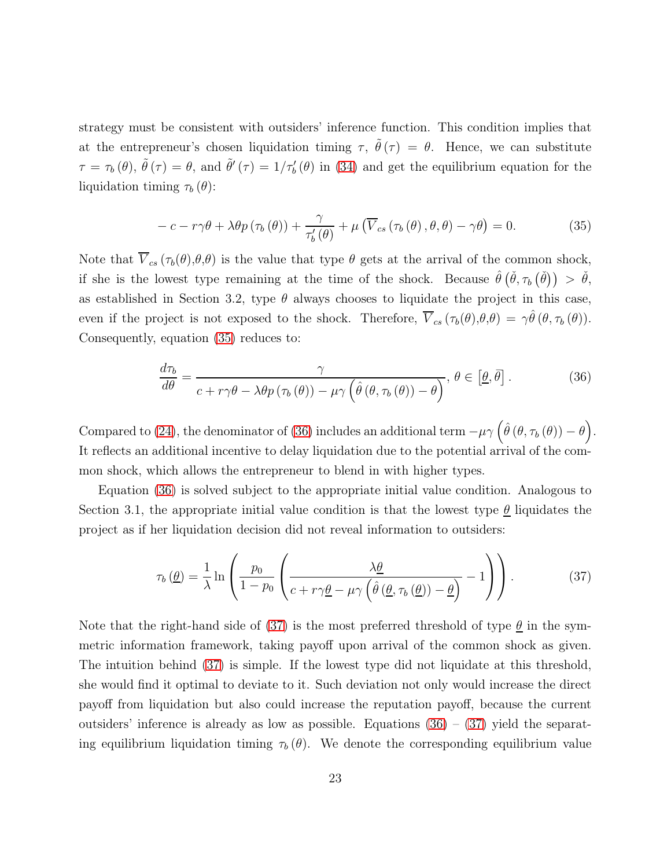strategy must be consistent with outsiders' inference function. This condition implies that at the entrepreneur's chosen liquidation timing  $\tau$ ,  $\tilde{\theta}(\tau) = \theta$ . Hence, we can substitute  $\tau = \tau_b(\theta)$ ,  $\tilde{\theta}(\tau) = \theta$ , and  $\tilde{\theta}'(\tau) = 1/\tau'_b(\theta)$  in [\(34\)](#page-21-3) and get the equilibrium equation for the liquidation timing  $\tau_b(\theta)$ :

<span id="page-22-0"></span>
$$
-c - r\gamma\theta + \lambda\theta p(\tau_b(\theta)) + \frac{\gamma}{\tau_b'(\theta)} + \mu(\overline{V}_{cs}(\tau_b(\theta), \theta, \theta) - \gamma\theta) = 0.
$$
 (35)

Note that  $\overline{V}_{cs}(\tau_b(\theta),\theta,\theta)$  is the value that type  $\theta$  gets at the arrival of the common shock, if she is the lowest type remaining at the time of the shock. Because  $\hat{\theta}(\check{\theta}, \tau_b(\check{\theta})) > \check{\theta}$ , as established in Section 3.2, type  $\theta$  always chooses to liquidate the project in this case, even if the project is not exposed to the shock. Therefore,  $\overline{V}_{cs}(\tau_b(\theta),\theta,\theta) = \gamma \hat{\theta}(\theta,\tau_b(\theta)).$ Consequently, equation [\(35\)](#page-22-0) reduces to:

<span id="page-22-1"></span>
$$
\frac{d\tau_b}{d\theta} = \frac{\gamma}{c + r\gamma\theta - \lambda\theta p\left(\tau_b\left(\theta\right)\right) - \mu\gamma\left(\hat{\theta}\left(\theta, \tau_b\left(\theta\right)\right) - \theta\right)}, \ \theta \in \left[\underline{\theta}, \overline{\theta}\right].\tag{36}
$$

Compared to [\(24\)](#page-17-0), the denominator of [\(36\)](#page-22-1) includes an additional term  $-\mu\gamma \left(\hat{\theta}(\theta,\tau_b(\theta))-\theta\right)$ . It reflects an additional incentive to delay liquidation due to the potential arrival of the common shock, which allows the entrepreneur to blend in with higher types.

Equation [\(36\)](#page-22-1) is solved subject to the appropriate initial value condition. Analogous to Section 3.1, the appropriate initial value condition is that the lowest type  $\underline{\theta}$  liquidates the project as if her liquidation decision did not reveal information to outsiders:

<span id="page-22-2"></span>
$$
\tau_b(\underline{\theta}) = \frac{1}{\lambda} \ln \left( \frac{p_0}{1 - p_0} \left( \frac{\lambda \underline{\theta}}{c + r \gamma \underline{\theta} - \mu \gamma \left( \hat{\theta} \left( \underline{\theta}, \tau_b(\underline{\theta}) \right) - \underline{\theta} \right)} - 1 \right) \right). \tag{37}
$$

Note that the right-hand side of [\(37\)](#page-22-2) is the most preferred threshold of type  $\underline{\theta}$  in the symmetric information framework, taking payoff upon arrival of the common shock as given. The intuition behind [\(37\)](#page-22-2) is simple. If the lowest type did not liquidate at this threshold, she would find it optimal to deviate to it. Such deviation not only would increase the direct payoff from liquidation but also could increase the reputation payoff, because the current outsiders' inference is already as low as possible. Equations  $(36) - (37)$  $(36) - (37)$  $(36) - (37)$  yield the separating equilibrium liquidation timing  $\tau_b (\theta)$ . We denote the corresponding equilibrium value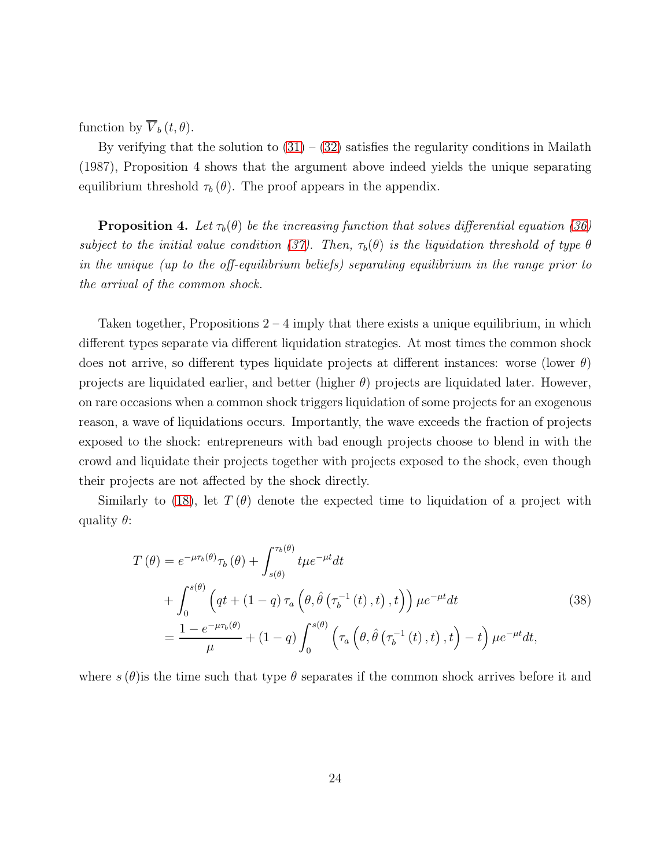function by  $\overline{V}_b(t, \theta)$ .

By verifying that the solution to  $(31) - (32)$  $(31) - (32)$  satisfies the regularity conditions in Mailath (1987), Proposition 4 shows that the argument above indeed yields the unique separating equilibrium threshold  $\tau_b(\theta)$ . The proof appears in the appendix.

**Proposition 4.** Let  $\tau_b(\theta)$  be the increasing function that solves differential equation [\(36\)](#page-22-1) subject to the initial value condition [\(37\)](#page-22-2). Then,  $\tau_b(\theta)$  is the liquidation threshold of type  $\theta$ in the unique (up to the off-equilibrium beliefs) separating equilibrium in the range prior to the arrival of the common shock.

Taken together, Propositions  $2 - 4$  imply that there exists a unique equilibrium, in which different types separate via different liquidation strategies. At most times the common shock does not arrive, so different types liquidate projects at different instances: worse (lower  $\theta$ ) projects are liquidated earlier, and better (higher  $\theta$ ) projects are liquidated later. However, on rare occasions when a common shock triggers liquidation of some projects for an exogenous reason, a wave of liquidations occurs. Importantly, the wave exceeds the fraction of projects exposed to the shock: entrepreneurs with bad enough projects choose to blend in with the crowd and liquidate their projects together with projects exposed to the shock, even though their projects are not affected by the shock directly.

Similarly to [\(18\)](#page-14-0), let  $T(\theta)$  denote the expected time to liquidation of a project with quality  $\theta$ :

$$
T(\theta) = e^{-\mu\tau_b(\theta)}\tau_b(\theta) + \int_{s(\theta)}^{\tau_b(\theta)} t\mu e^{-\mu t} dt
$$
  
+ 
$$
\int_0^{s(\theta)} \left(qt + (1-q)\tau_a\left(\theta, \hat{\theta}\left(\tau_b^{-1}(t), t\right), t\right)\right) \mu e^{-\mu t} dt
$$
  
= 
$$
\frac{1 - e^{-\mu\tau_b(\theta)}}{\mu} + (1-q)\int_0^{s(\theta)} \left(\tau_a\left(\theta, \hat{\theta}\left(\tau_b^{-1}(t), t\right), t\right) - t\right) \mu e^{-\mu t} dt,
$$
 (38)

where  $s(\theta)$  is the time such that type  $\theta$  separates if the common shock arrives before it and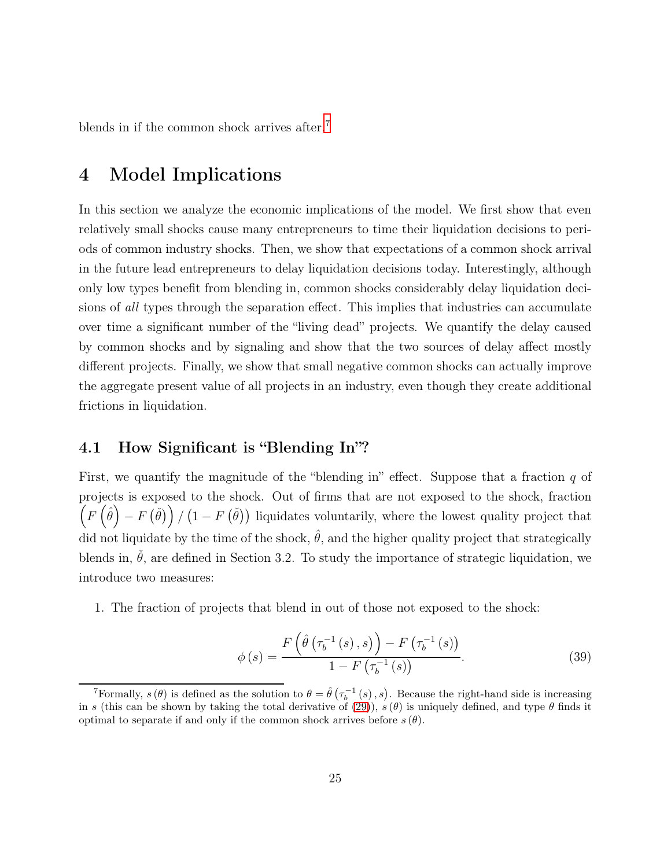blends in if the common shock arrives after.<sup>[7](#page-24-0)</sup>

# 4 Model Implications

In this section we analyze the economic implications of the model. We first show that even relatively small shocks cause many entrepreneurs to time their liquidation decisions to periods of common industry shocks. Then, we show that expectations of a common shock arrival in the future lead entrepreneurs to delay liquidation decisions today. Interestingly, although only low types benefit from blending in, common shocks considerably delay liquidation decisions of all types through the separation effect. This implies that industries can accumulate over time a significant number of the "living dead" projects. We quantify the delay caused by common shocks and by signaling and show that the two sources of delay affect mostly different projects. Finally, we show that small negative common shocks can actually improve the aggregate present value of all projects in an industry, even though they create additional frictions in liquidation.

#### 4.1 How Significant is "Blending In"?

First, we quantify the magnitude of the "blending in" effect. Suppose that a fraction  $q$  of projects is exposed to the shock. Out of firms that are not exposed to the shock, fraction  $\left(F\left(\hat{\theta}\right) - F\left(\check{\theta}\right)\right) / \left(1 - F\left(\check{\theta}\right)\right)$  liquidates voluntarily, where the lowest quality project that did not liquidate by the time of the shock,  $\hat{\theta}$ , and the higher quality project that strategically blends in,  $\dot{\theta}$ , are defined in Section 3.2. To study the importance of strategic liquidation, we introduce two measures:

1. The fraction of projects that blend in out of those not exposed to the shock:

$$
\phi(s) = \frac{F\left(\hat{\theta}\left(\tau_b^{-1}\left(s\right), s\right)\right) - F\left(\tau_b^{-1}\left(s\right)\right)}{1 - F\left(\tau_b^{-1}\left(s\right)\right)}.\tag{39}
$$

<span id="page-24-0"></span><sup>&</sup>lt;sup>7</sup>Formally,  $s(\theta)$  is defined as the solution to  $\theta = \hat{\theta}(\tau_b^{-1}(s), s)$ . Because the right-hand side is increasing in s (this can be shown by taking the total derivative of [\(29\)](#page-19-0)),  $s(\theta)$  is uniquely defined, and type  $\theta$  finds it optimal to separate if and only if the common shock arrives before  $s(\theta)$ .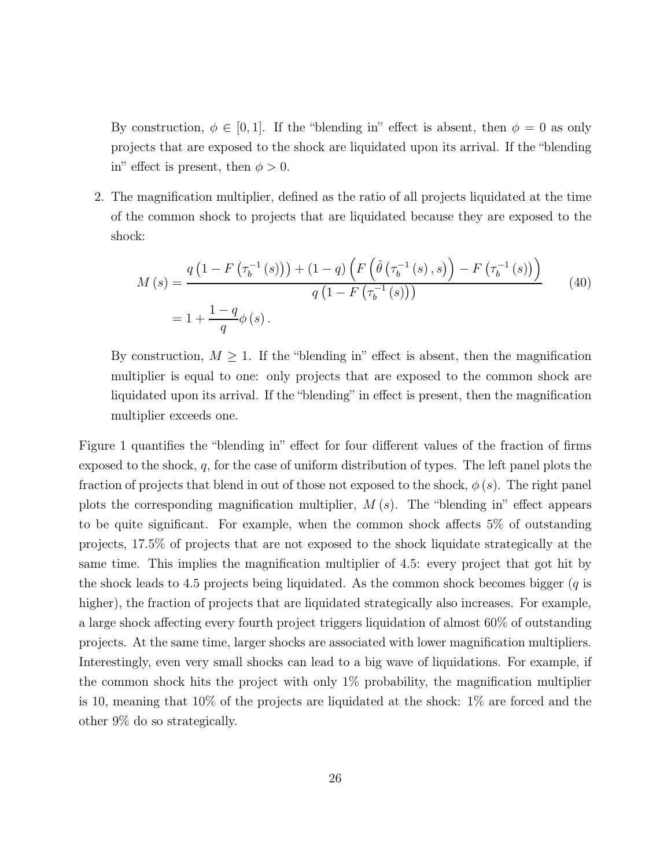By construction,  $\phi \in [0, 1]$ . If the "blending in" effect is absent, then  $\phi = 0$  as only projects that are exposed to the shock are liquidated upon its arrival. If the "blending in" effect is present, then  $\phi > 0$ .

2. The magnification multiplier, defined as the ratio of all projects liquidated at the time of the common shock to projects that are liquidated because they are exposed to the shock:

$$
M(s) = \frac{q(1 - F(\tau_b^{-1}(s)) + (1 - q) \left( F(\hat{\theta}(\tau_b^{-1}(s), s)) - F(\tau_b^{-1}(s)) \right)}{q(1 - F(\tau_b^{-1}(s)))}
$$
(40)  
=  $1 + \frac{1 - q}{q} \phi(s)$ .

By construction,  $M \geq 1$ . If the "blending in" effect is absent, then the magnification multiplier is equal to one: only projects that are exposed to the common shock are liquidated upon its arrival. If the "blending" in effect is present, then the magnification multiplier exceeds one.

Figure 1 quantifies the "blending in" effect for four different values of the fraction of firms exposed to the shock,  $q$ , for the case of uniform distribution of types. The left panel plots the fraction of projects that blend in out of those not exposed to the shock,  $\phi(s)$ . The right panel plots the corresponding magnification multiplier,  $M(s)$ . The "blending in" effect appears to be quite significant. For example, when the common shock affects 5% of outstanding projects, 17.5% of projects that are not exposed to the shock liquidate strategically at the same time. This implies the magnification multiplier of 4.5: every project that got hit by the shock leads to 4.5 projects being liquidated. As the common shock becomes bigger  $(q$  is higher), the fraction of projects that are liquidated strategically also increases. For example, a large shock affecting every fourth project triggers liquidation of almost 60% of outstanding projects. At the same time, larger shocks are associated with lower magnification multipliers. Interestingly, even very small shocks can lead to a big wave of liquidations. For example, if the common shock hits the project with only  $1\%$  probability, the magnification multiplier is 10, meaning that 10% of the projects are liquidated at the shock: 1% are forced and the other 9% do so strategically.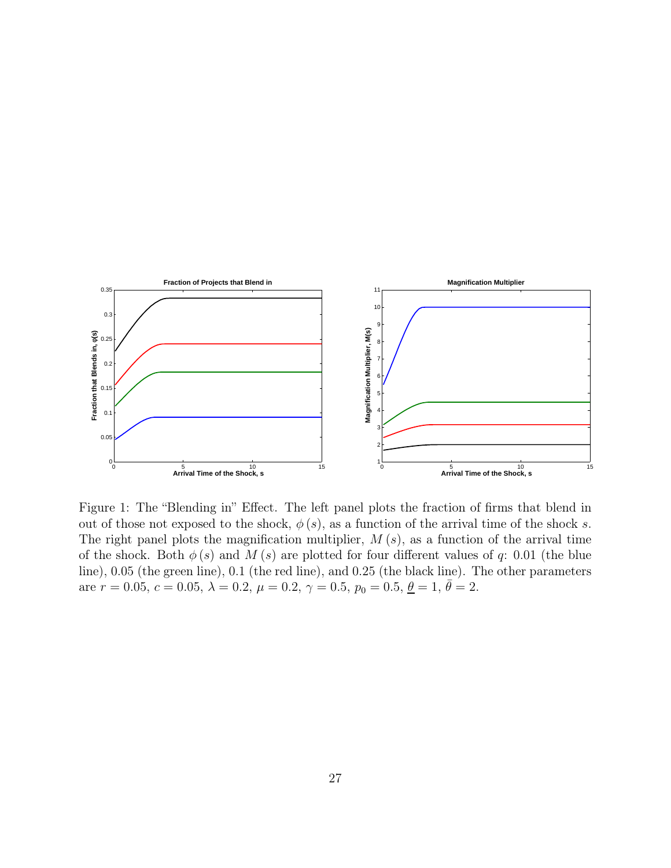

Figure 1: The "Blending in" Effect. The left panel plots the fraction of firms that blend in out of those not exposed to the shock,  $\phi(s)$ , as a function of the arrival time of the shock s. The right panel plots the magnification multiplier,  $M(s)$ , as a function of the arrival time of the shock. Both  $\phi(s)$  and  $M(s)$  are plotted for four different values of q: 0.01 (the blue line), 0.05 (the green line), 0.1 (the red line), and 0.25 (the black line). The other parameters are  $r = 0.05, c = 0.05, \lambda = 0.2, \mu = 0.2, \gamma = 0.5, p_0 = 0.5, \underline{\theta} = 1, \overline{\theta} = 2.$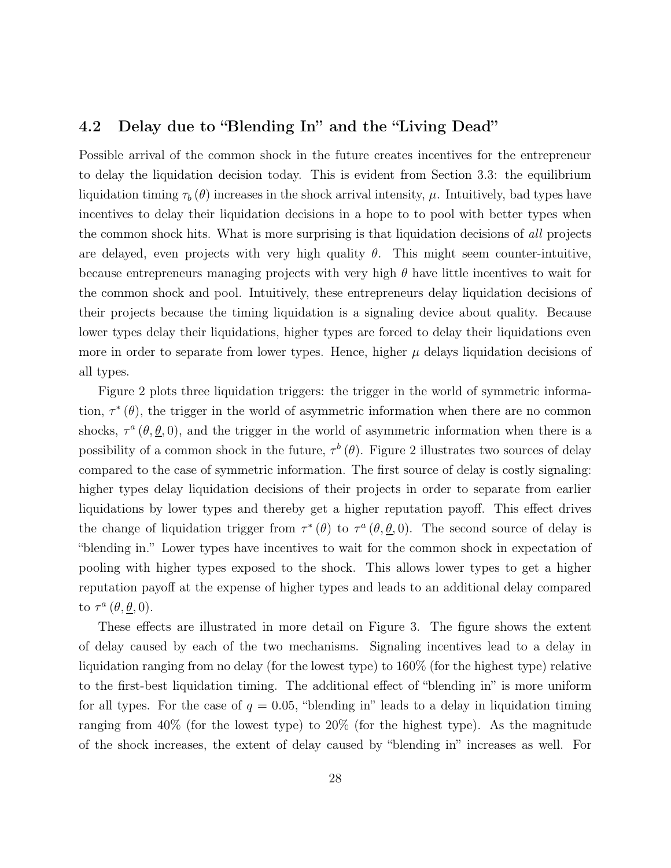### 4.2 Delay due to "Blending In" and the "Living Dead"

Possible arrival of the common shock in the future creates incentives for the entrepreneur to delay the liquidation decision today. This is evident from Section 3.3: the equilibrium liquidation timing  $\tau_b(\theta)$  increases in the shock arrival intensity,  $\mu$ . Intuitively, bad types have incentives to delay their liquidation decisions in a hope to to pool with better types when the common shock hits. What is more surprising is that liquidation decisions of all projects are delayed, even projects with very high quality  $\theta$ . This might seem counter-intuitive, because entrepreneurs managing projects with very high  $\theta$  have little incentives to wait for the common shock and pool. Intuitively, these entrepreneurs delay liquidation decisions of their projects because the timing liquidation is a signaling device about quality. Because lower types delay their liquidations, higher types are forced to delay their liquidations even more in order to separate from lower types. Hence, higher  $\mu$  delays liquidation decisions of all types.

Figure 2 plots three liquidation triggers: the trigger in the world of symmetric information,  $\tau^*(\theta)$ , the trigger in the world of asymmetric information when there are no common shocks,  $\tau^a$  ( $\theta$ ,  $\theta$ , 0), and the trigger in the world of asymmetric information when there is a possibility of a common shock in the future,  $\tau^b(\theta)$ . Figure 2 illustrates two sources of delay compared to the case of symmetric information. The first source of delay is costly signaling: higher types delay liquidation decisions of their projects in order to separate from earlier liquidations by lower types and thereby get a higher reputation payoff. This effect drives the change of liquidation trigger from  $\tau^*(\theta)$  to  $\tau^a(\theta, \underline{\theta}, 0)$ . The second source of delay is "blending in." Lower types have incentives to wait for the common shock in expectation of pooling with higher types exposed to the shock. This allows lower types to get a higher reputation payoff at the expense of higher types and leads to an additional delay compared to  $\tau^a$   $(\theta, \underline{\theta}, 0)$ .

These effects are illustrated in more detail on Figure 3. The figure shows the extent of delay caused by each of the two mechanisms. Signaling incentives lead to a delay in liquidation ranging from no delay (for the lowest type) to 160% (for the highest type) relative to the first-best liquidation timing. The additional effect of "blending in" is more uniform for all types. For the case of  $q = 0.05$ , "blending in" leads to a delay in liquidation timing ranging from 40% (for the lowest type) to 20% (for the highest type). As the magnitude of the shock increases, the extent of delay caused by "blending in" increases as well. For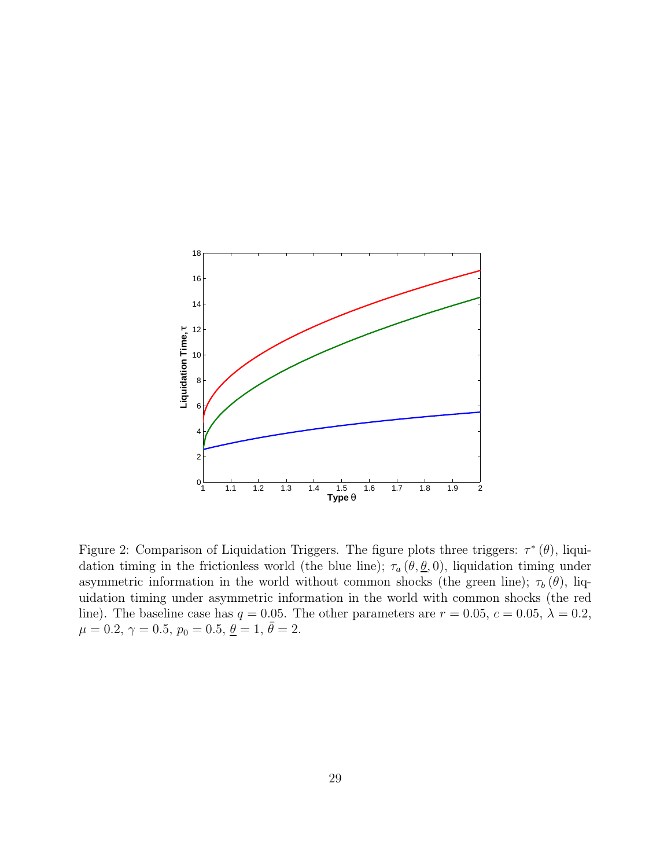

Figure 2: Comparison of Liquidation Triggers. The figure plots three triggers:  $\tau^*(\theta)$ , liquidation timing in the frictionless world (the blue line);  $\tau_a (\theta, \underline{\theta}, 0)$ , liquidation timing under asymmetric information in the world without common shocks (the green line);  $\tau_b(\theta)$ , liquidation timing under asymmetric information in the world with common shocks (the red line). The baseline case has  $q = 0.05$ . The other parameters are  $r = 0.05$ ,  $c = 0.05$ ,  $\lambda = 0.2$ ,  $\mu = 0.2, \, \gamma = 0.5, \, p_0 = 0.5, \, \underline{\theta} = 1, \, \bar{\theta} = 2.$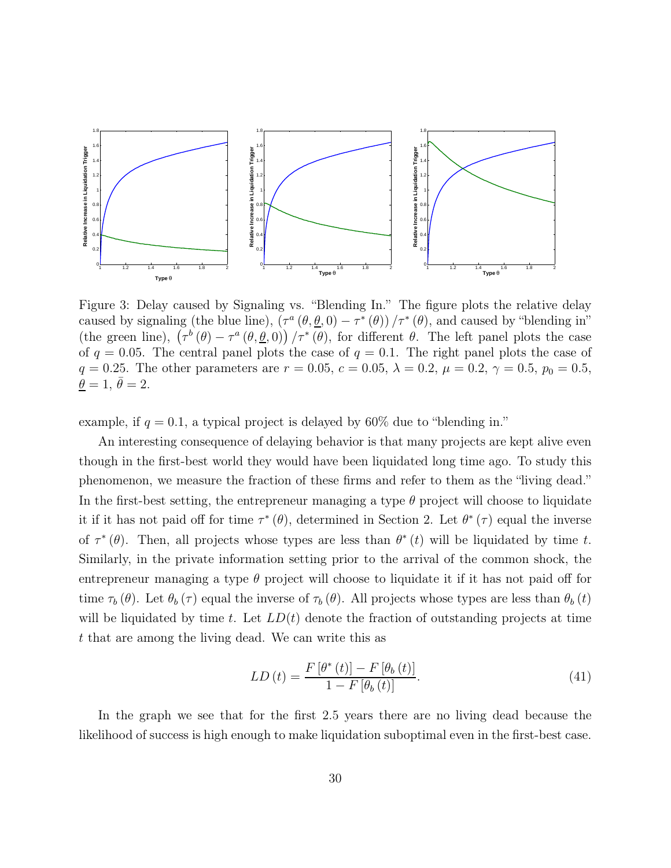

Figure 3: Delay caused by Signaling vs. "Blending In." The figure plots the relative delay caused by signaling (the blue line),  $(\tau^a (\theta, \underline{\theta}, 0) - \tau^* (\theta)) / \tau^* (\theta)$ , and caused by "blending in" (the green line),  $(\tau^{b}(\theta) - \tau^{a}(\theta, \underline{\theta}, 0)) / \tau^{*}(\theta)$ , for different  $\theta$ . The left panel plots the case of  $q = 0.05$ . The central panel plots the case of  $q = 0.1$ . The right panel plots the case of q = 0.25. The other parameters are  $r = 0.05$ ,  $c = 0.05$ ,  $\lambda = 0.2$ ,  $\mu = 0.2$ ,  $\gamma = 0.5$ ,  $p_0 = 0.5$ ,  $\bar{\theta} = 1, \bar{\theta} = 2.$ 

example, if  $q = 0.1$ , a typical project is delayed by 60% due to "blending in."

An interesting consequence of delaying behavior is that many projects are kept alive even though in the first-best world they would have been liquidated long time ago. To study this phenomenon, we measure the fraction of these firms and refer to them as the "living dead." In the first-best setting, the entrepreneur managing a type  $\theta$  project will choose to liquidate it if it has not paid off for time  $\tau^*(\theta)$ , determined in Section 2. Let  $\theta^*(\tau)$  equal the inverse of  $\tau^*(\theta)$ . Then, all projects whose types are less than  $\theta^*(t)$  will be liquidated by time t. Similarly, in the private information setting prior to the arrival of the common shock, the entrepreneur managing a type  $\theta$  project will choose to liquidate it if it has not paid off for time  $\tau_b (\theta)$ . Let  $\theta_b (\tau)$  equal the inverse of  $\tau_b (\theta)$ . All projects whose types are less than  $\theta_b (t)$ will be liquidated by time t. Let  $LD(t)$  denote the fraction of outstanding projects at time t that are among the living dead. We can write this as

$$
LD\left(t\right) = \frac{F\left[\theta^*\left(t\right)\right] - F\left[\theta_b\left(t\right)\right]}{1 - F\left[\theta_b\left(t\right)\right]}.\tag{41}
$$

In the graph we see that for the first 2.5 years there are no living dead because the likelihood of success is high enough to make liquidation suboptimal even in the first-best case.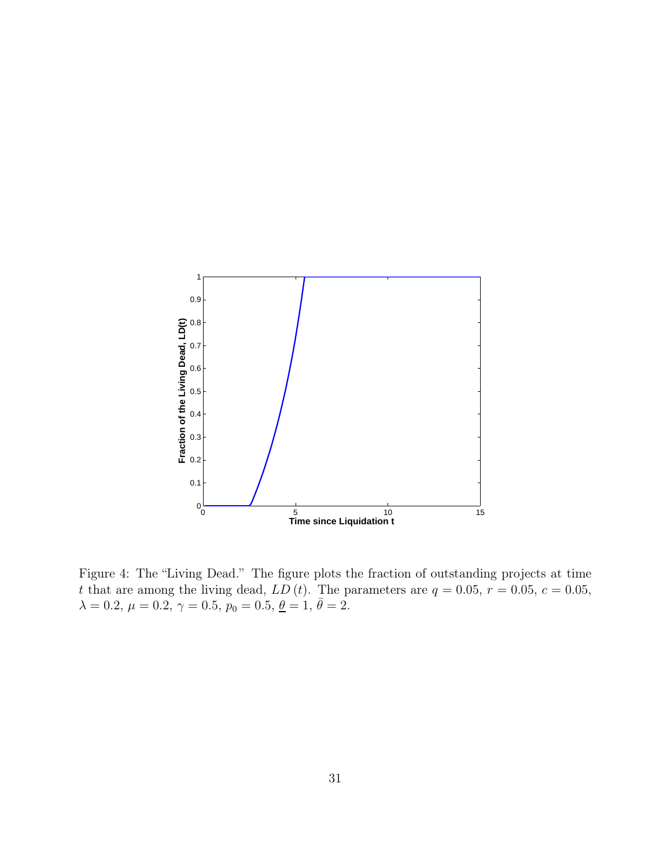

Figure 4: The "Living Dead." The figure plots the fraction of outstanding projects at time t that are among the living dead,  $LD(t)$ . The parameters are  $q = 0.05, r = 0.05, c = 0.05$ ,  $\lambda = 0.2, \ \mu = 0.2, \ \gamma = 0.5, \ p_0 = 0.5, \ \underline{\theta} = 1, \ \overline{\theta} = 2.$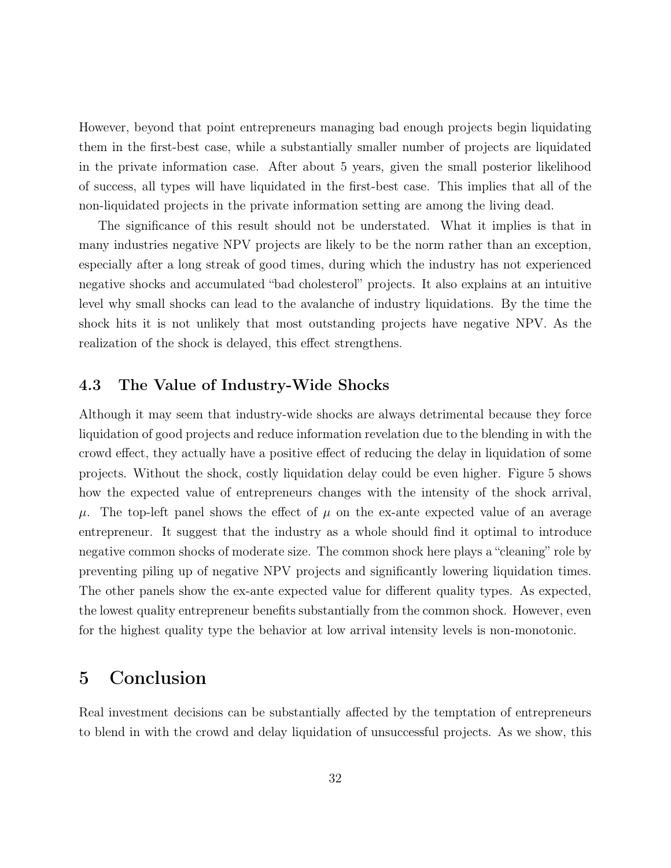However, beyond that point entrepreneurs managing bad enough projects begin liquidating them in the first-best case, while a substantially smaller number of projects are liquidated in the private information case. After about 5 years, given the small posterior likelihood of success, all types will have liquidated in the first-best case. This implies that all of the non-liquidated projects in the private information setting are among the living dead.

The significance of this result should not be understated. What it implies is that in many industries negative NPV projects are likely to be the norm rather than an exception, especially after a long streak of good times, during which the industry has not experienced negative shocks and accumulated "bad cholesterol" projects. It also explains at an intuitive level why small shocks can lead to the avalanche of industry liquidations. By the time the shock hits it is not unlikely that most outstanding projects have negative NPV. As the realization of the shock is delayed, this effect strengthens.

### 4.3 The Value of Industry-Wide Shocks

Although it may seem that industry-wide shocks are always detrimental because they force liquidation of good projects and reduce information revelation due to the blending in with the crowd effect, they actually have a positive effect of reducing the delay in liquidation of some projects. Without the shock, costly liquidation delay could be even higher. Figure 5 shows how the expected value of entrepreneurs changes with the intensity of the shock arrival,  $\mu$ . The top-left panel shows the effect of  $\mu$  on the ex-ante expected value of an average entrepreneur. It suggest that the industry as a whole should find it optimal to introduce negative common shocks of moderate size. The common shock here plays a "cleaning" role by preventing piling up of negative NPV projects and significantly lowering liquidation times. The other panels show the ex-ante expected value for different quality types. As expected, the lowest quality entrepreneur benefits substantially from the common shock. However, even for the highest quality type the behavior at low arrival intensity levels is non-monotonic.

# 5 Conclusion

Real investment decisions can be substantially affected by the temptation of entrepreneurs to blend in with the crowd and delay liquidation of unsuccessful projects. As we show, this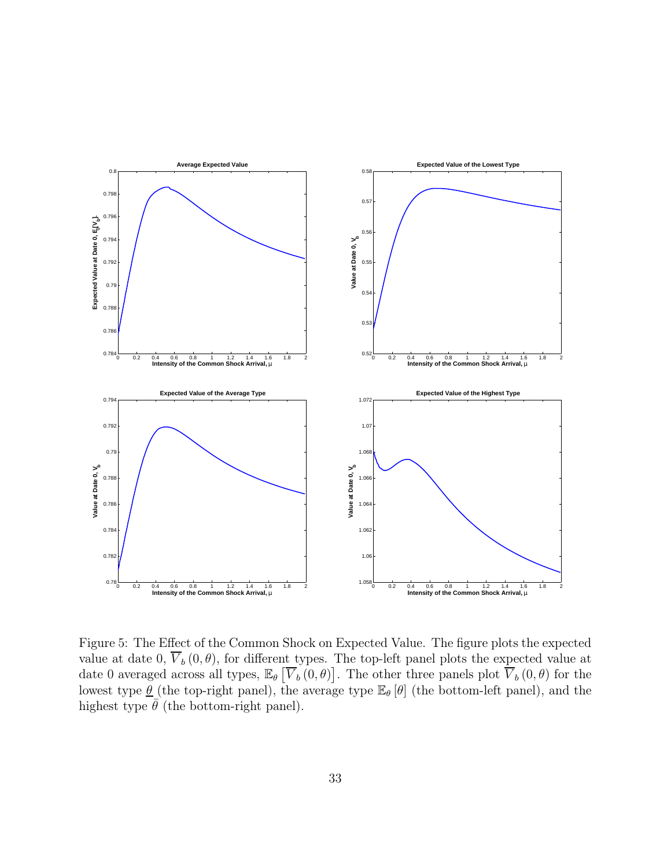

Figure 5: The Effect of the Common Shock on Expected Value. The figure plots the expected value at date 0,  $\overline{V}_b(0, \theta)$ , for different types. The top-left panel plots the expected value at date 0 averaged across all types,  $\mathbb{E}_{\theta} \left[ \overline{V}_b(0,\theta) \right]$ . The other three panels plot  $\overline{V}_b(0,\theta)$  for the lowest type  $\underline{\theta}$  (the top-right panel), the average type  $\mathbb{E}_{\theta}[\theta]$  (the bottom-left panel), and the highest type  $\bar{\theta}$  (the bottom-right panel).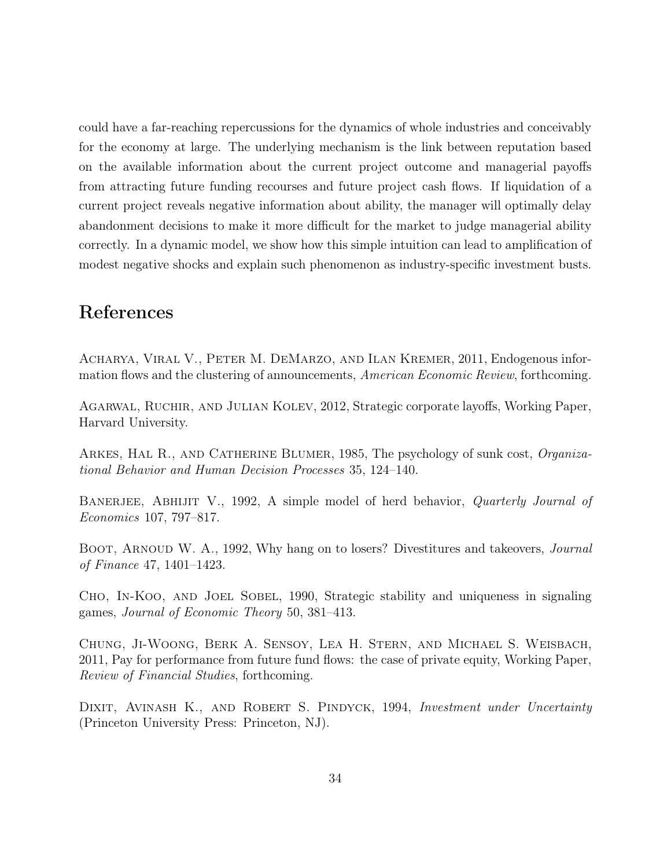could have a far-reaching repercussions for the dynamics of whole industries and conceivably for the economy at large. The underlying mechanism is the link between reputation based on the available information about the current project outcome and managerial payoffs from attracting future funding recourses and future project cash flows. If liquidation of a current project reveals negative information about ability, the manager will optimally delay abandonment decisions to make it more difficult for the market to judge managerial ability correctly. In a dynamic model, we show how this simple intuition can lead to amplification of modest negative shocks and explain such phenomenon as industry-specific investment busts.

# References

Acharya, Viral V., Peter M. DeMarzo, and Ilan Kremer, 2011, Endogenous information flows and the clustering of announcements, American Economic Review, forthcoming.

Agarwal, Ruchir, and Julian Kolev, 2012, Strategic corporate layoffs, Working Paper, Harvard University.

ARKES, HAL R., AND CATHERINE BLUMER, 1985, The psychology of sunk cost, *Organiza*tional Behavior and Human Decision Processes 35, 124–140.

BANERJEE, ABHIJIT V., 1992, A simple model of herd behavior, *Quarterly Journal of* Economics 107, 797–817.

BOOT, ARNOUD W. A., 1992, Why hang on to losers? Divestitures and takeovers, *Journal* of Finance 47, 1401–1423.

CHO, IN-KOO, AND JOEL SOBEL, 1990, Strategic stability and uniqueness in signaling games, Journal of Economic Theory 50, 381–413.

Chung, Ji-Woong, Berk A. Sensoy, Lea H. Stern, and Michael S. Weisbach, 2011, Pay for performance from future fund flows: the case of private equity, Working Paper, Review of Financial Studies, forthcoming.

DIXIT, AVINASH K., AND ROBERT S. PINDYCK, 1994, *Investment under Uncertainty* (Princeton University Press: Princeton, NJ).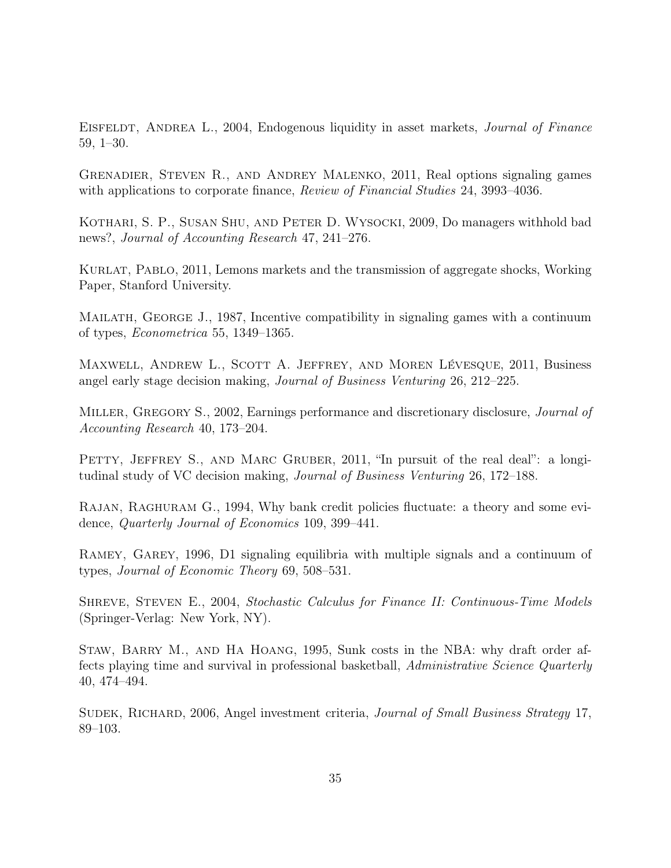EISFELDT, ANDREA L., 2004, Endogenous liquidity in asset markets, *Journal of Finance* 59, 1–30.

Grenadier, Steven R., and Andrey Malenko, 2011, Real options signaling games with applications to corporate finance, *Review of Financial Studies* 24, 3993–4036.

KOTHARI, S. P., SUSAN SHU, AND PETER D. WYSOCKI, 2009, Do managers withhold bad news?, Journal of Accounting Research 47, 241–276.

Kurlat, Pablo, 2011, Lemons markets and the transmission of aggregate shocks, Working Paper, Stanford University.

MAILATH, GEORGE J., 1987, Incentive compatibility in signaling games with a continuum of types, Econometrica 55, 1349–1365.

Maxwell, Andrew L., Scott A. Jeffrey, and Moren Lévesque, 2011, Business angel early stage decision making, Journal of Business Venturing 26, 212–225.

MILLER, GREGORY S., 2002, Earnings performance and discretionary disclosure, *Journal of* Accounting Research 40, 173–204.

PETTY, JEFFREY S., AND MARC GRUBER, 2011, "In pursuit of the real deal": a longitudinal study of VC decision making, Journal of Business Venturing 26, 172–188.

Rajan, Raghuram G., 1994, Why bank credit policies fluctuate: a theory and some evidence, Quarterly Journal of Economics 109, 399–441.

Ramey, Garey, 1996, D1 signaling equilibria with multiple signals and a continuum of types, Journal of Economic Theory 69, 508–531.

SHREVE, STEVEN E., 2004, Stochastic Calculus for Finance II: Continuous-Time Models (Springer-Verlag: New York, NY).

Staw, Barry M., and Ha Hoang, 1995, Sunk costs in the NBA: why draft order affects playing time and survival in professional basketball, Administrative Science Quarterly 40, 474–494.

SUDEK, RICHARD, 2006, Angel investment criteria, *Journal of Small Business Strategy* 17, 89–103.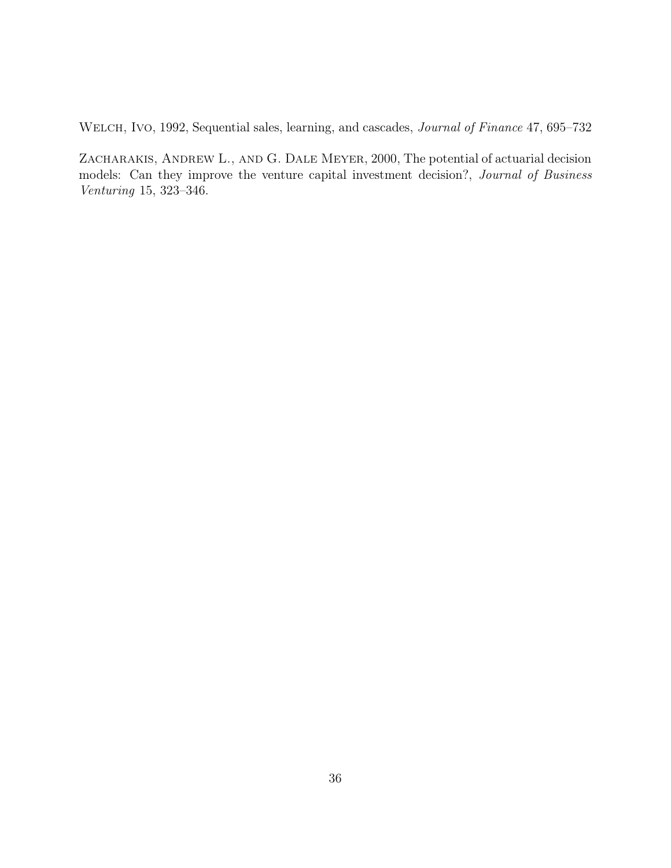WELCH, IVO, 1992, Sequential sales, learning, and cascades, *Journal of Finance* 47, 695–732

ZACHARAKIS, ANDREW L., AND G. DALE MEYER, 2000, The potential of actuarial decision models: Can they improve the venture capital investment decision?, Journal of Business Venturing 15, 323–346.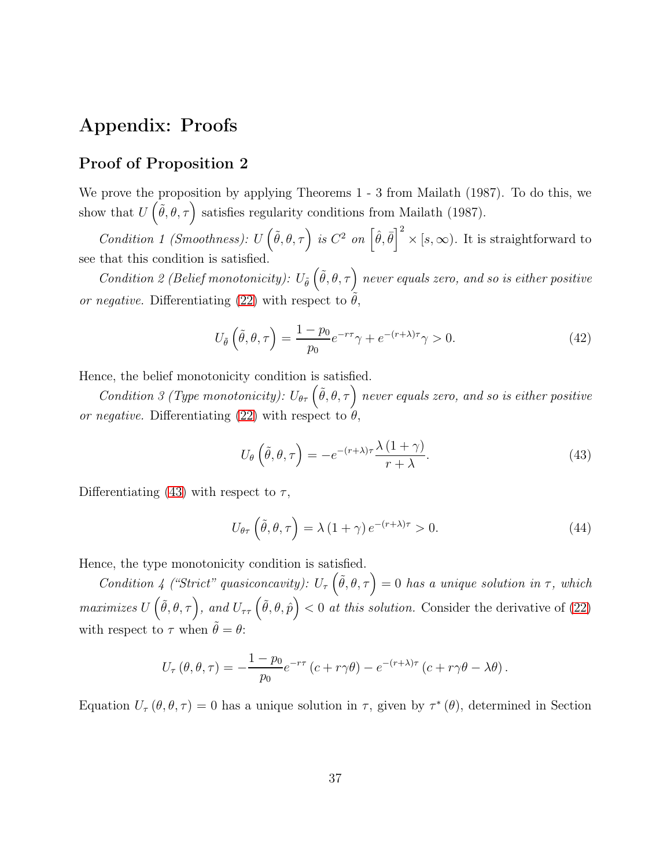# Appendix: Proofs

## Proof of Proposition 2

We prove the proposition by applying Theorems 1 - 3 from Mailath (1987). To do this, we show that  $U(\tilde{\theta}, \theta, \tau)$  satisfies regularity conditions from Mailath (1987).

Condition 1 (Smoothness):  $U(\tilde{\theta}, \theta, \tau)$  is  $C^2$  on  $\left[\hat{\theta}, \bar{\theta}\right]^2 \times [s, \infty)$ . It is straightforward to see that this condition is satisfied.

Condition 2 (Belief monotonicity):  $U_{\tilde{\theta}}\left(\tilde{\theta}, \theta, \tau\right)$  never equals zero, and so is either positive or negative. Differentiating [\(22\)](#page-16-3) with respect to  $\theta$ ,

$$
U_{\tilde{\theta}}\left(\tilde{\theta}, \theta, \tau\right) = \frac{1 - p_0}{p_0} e^{-r\tau} \gamma + e^{-(r+\lambda)\tau} \gamma > 0. \tag{42}
$$

Hence, the belief monotonicity condition is satisfied.

Condition 3 (Type monotonicity):  $U_{\theta\tau}(\tilde{\theta}, \theta, \tau)$  never equals zero, and so is either positive or negative. Differentiating [\(22\)](#page-16-3) with respect to  $\theta$ .

<span id="page-36-0"></span>
$$
U_{\theta}\left(\tilde{\theta},\theta,\tau\right) = -e^{-(r+\lambda)\tau} \frac{\lambda\left(1+\gamma\right)}{r+\lambda}.\tag{43}
$$

Differentiating [\(43\)](#page-36-0) with respect to  $\tau$ ,

$$
U_{\theta\tau}\left(\tilde{\theta},\theta,\tau\right) = \lambda\left(1+\gamma\right)e^{-(r+\lambda)\tau} > 0.
$$
\n(44)

Hence, the type monotonicity condition is satisfied.

Condition 4 ("Strict" quasiconcavity):  $U_{\tau}(\tilde{\theta}, \theta, \tau) = 0$  has a unique solution in  $\tau$ , which maximizes  $U(\tilde{\theta}, \theta, \tau)$ , and  $U_{\tau\tau}(\tilde{\theta}, \theta, \hat{p}) < 0$  at this solution. Consider the derivative of [\(22\)](#page-16-3) with respect to  $\tau$  when  $\tilde{\theta} = \theta$ :

$$
U_{\tau}(\theta,\theta,\tau) = -\frac{1-p_0}{p_0}e^{-r\tau}\left(c+r\gamma\theta\right) - e^{-(r+\lambda)\tau}\left(c+r\gamma\theta-\lambda\theta\right).
$$

Equation  $U_{\tau}(\theta, \theta, \tau) = 0$  has a unique solution in  $\tau$ , given by  $\tau^*(\theta)$ , determined in Section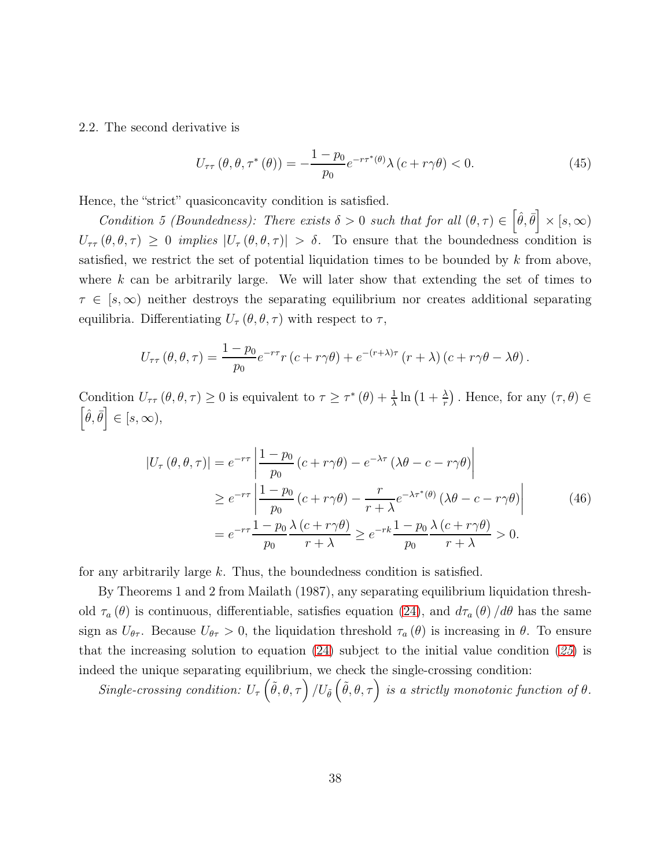2.2. The second derivative is

$$
U_{\tau\tau}(\theta,\theta,\tau^*(\theta)) = -\frac{1-p_0}{p_0}e^{-r\tau^*(\theta)}\lambda(c+r\gamma\theta) < 0.
$$
 (45)

Hence, the "strict" quasiconcavity condition is satisfied.

Condition 5 (Boundedness): There exists  $\delta > 0$  such that for all  $(\theta, \tau) \in [\hat{\theta}, \bar{\theta}] \times [s, \infty)$  $U_{\tau\tau}(\theta, \theta, \tau) \geq 0$  implies  $|U_{\tau}(\theta, \theta, \tau)| > \delta$ . To ensure that the boundedness condition is satisfied, we restrict the set of potential liquidation times to be bounded by  $k$  from above, where  $k$  can be arbitrarily large. We will later show that extending the set of times to  $\tau \in [s, \infty)$  neither destroys the separating equilibrium nor creates additional separating equilibria. Differentiating  $U_{\tau}(\theta, \theta, \tau)$  with respect to  $\tau$ ,

$$
U_{\tau\tau}(\theta,\theta,\tau) = \frac{1-p_0}{p_0}e^{-r\tau}r(c+r\gamma\theta) + e^{-(r+\lambda)\tau}(r+\lambda)(c+r\gamma\theta-\lambda\theta).
$$

Condition  $U_{\tau\tau}(\theta, \theta, \tau) \geq 0$  is equivalent to  $\tau \geq \tau^*(\theta) + \frac{1}{\lambda} \ln(1 + \frac{\lambda}{r})$ . Hence, for any  $(\tau, \theta) \in$  $\left[\hat{\theta},\bar{\theta}\right] \in [s,\infty),$ 

$$
|U_{\tau}(\theta,\theta,\tau)| = e^{-r\tau} \left| \frac{1 - p_0}{p_0} \left( c + r\gamma\theta \right) - e^{-\lambda\tau} \left( \lambda\theta - c - r\gamma\theta \right) \right|
$$
  
\n
$$
\geq e^{-r\tau} \left| \frac{1 - p_0}{p_0} \left( c + r\gamma\theta \right) - \frac{r}{r + \lambda} e^{-\lambda\tau^*(\theta)} \left( \lambda\theta - c - r\gamma\theta \right) \right|
$$
  
\n
$$
= e^{-r\tau} \frac{1 - p_0}{p_0} \frac{\lambda \left( c + r\gamma\theta \right)}{r + \lambda} \geq e^{-r\kappa} \frac{1 - p_0}{p_0} \frac{\lambda \left( c + r\gamma\theta \right)}{r + \lambda} > 0.
$$
\n(46)

for any arbitrarily large k. Thus, the boundedness condition is satisfied.

By Theorems 1 and 2 from Mailath (1987), any separating equilibrium liquidation threshold  $\tau_a(\theta)$  is continuous, differentiable, satisfies equation [\(24\)](#page-17-0), and  $d\tau_a(\theta)/d\theta$  has the same sign as  $U_{\theta\tau}$ . Because  $U_{\theta\tau} > 0$ , the liquidation threshold  $\tau_a(\theta)$  is increasing in  $\theta$ . To ensure that the increasing solution to equation  $(24)$  subject to the initial value condition  $(25)$  $(25)$  $(25)$  is indeed the unique separating equilibrium, we check the single-crossing condition:

Single-crossing condition:  $U_{\tau}(\tilde{\theta}, \theta, \tau) / U_{\tilde{\theta}}(\tilde{\theta}, \theta, \tau)$  is a strictly monotonic function of  $\theta$ .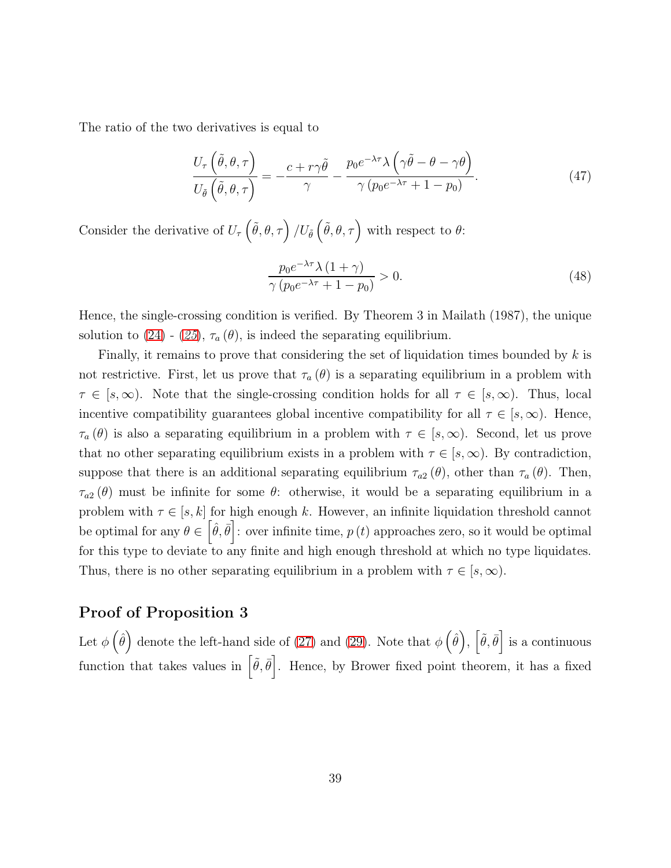The ratio of the two derivatives is equal to

$$
\frac{U_{\tau}\left(\tilde{\theta},\theta,\tau\right)}{U_{\tilde{\theta}}\left(\tilde{\theta},\theta,\tau\right)} = -\frac{c + r\gamma\tilde{\theta}}{\gamma} - \frac{p_0e^{-\lambda\tau}\lambda\left(\gamma\tilde{\theta} - \theta - \gamma\theta\right)}{\gamma\left(p_0e^{-\lambda\tau} + 1 - p_0\right)}.
$$
\n(47)

Consider the derivative of  $U_{\tau}(\tilde{\theta}, \theta, \tau) / U_{\tilde{\theta}}(\tilde{\theta}, \theta, \tau)$  with respect to  $\theta$ :

$$
\frac{p_0 e^{-\lambda \tau} \lambda (1 + \gamma)}{\gamma (p_0 e^{-\lambda \tau} + 1 - p_0)} > 0.
$$
\n(48)

Hence, the single-crossing condition is verified. By Theorem 3 in Mailath (1987), the unique solution to [\(24\)](#page-17-0) - ([25](#page-17-1)),  $\tau_a(\theta)$ , is indeed the separating equilibrium.

Finally, it remains to prove that considering the set of liquidation times bounded by  $k$  is not restrictive. First, let us prove that  $\tau_a(\theta)$  is a separating equilibrium in a problem with  $\tau \in [s,\infty)$ . Note that the single-crossing condition holds for all  $\tau \in [s,\infty)$ . Thus, local incentive compatibility guarantees global incentive compatibility for all  $\tau \in [s, \infty)$ . Hence,  $\tau_a(\theta)$  is also a separating equilibrium in a problem with  $\tau \in [s,\infty)$ . Second, let us prove that no other separating equilibrium exists in a problem with  $\tau \in [s, \infty)$ . By contradiction, suppose that there is an additional separating equilibrium  $\tau_{a2}(\theta)$ , other than  $\tau_a(\theta)$ . Then,  $\tau_{a2}(\theta)$  must be infinite for some  $\theta$ : otherwise, it would be a separating equilibrium in a problem with  $\tau \in [s, k]$  for high enough k. However, an infinite liquidation threshold cannot be optimal for any  $\theta \in \left[\hat{\theta}, \bar{\theta}\right]$ : over infinite time,  $p(t)$  approaches zero, so it would be optimal for this type to deviate to any finite and high enough threshold at which no type liquidates. Thus, there is no other separating equilibrium in a problem with  $\tau \in [s, \infty)$ .

### Proof of Proposition 3

Let  $\phi\left(\hat{\theta}\right)$  denote the left-hand side of [\(27\)](#page-18-0) and [\(29\)](#page-19-0). Note that  $\phi\left(\hat{\theta}\right)$ ,  $\left[\tilde{\theta}, \bar{\theta}\right]$  is a continuous function that takes values in  $\left[\tilde{\theta}, \bar{\theta}\right]$ . Hence, by Brower fixed point theorem, it has a fixed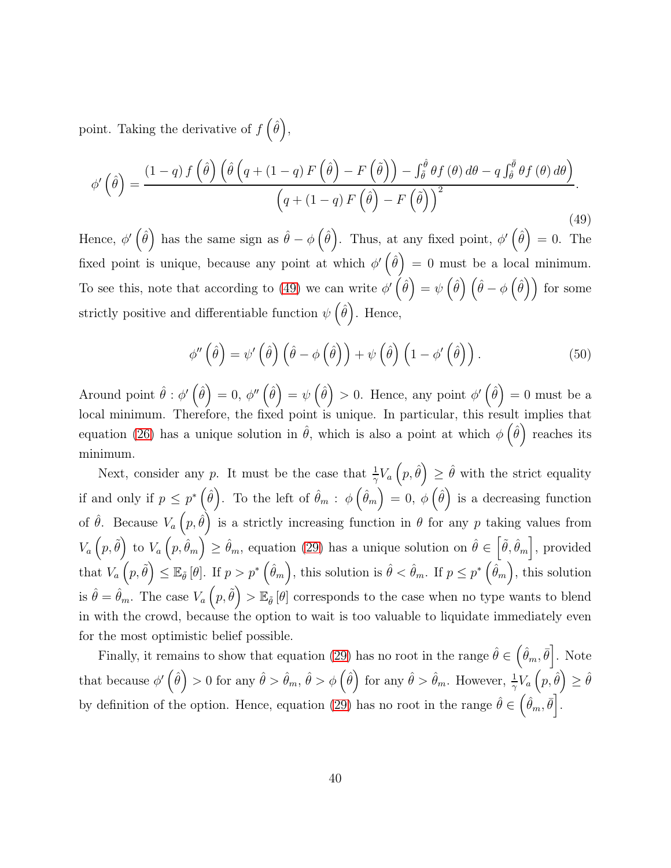point. Taking the derivative of  $f(\hat{\theta})$ ,

<span id="page-39-0"></span>
$$
\phi'\left(\hat{\theta}\right) = \frac{(1-q)f\left(\hat{\theta}\right)\left(\hat{\theta}\left(q+(1-q)F\left(\hat{\theta}\right)-F\left(\tilde{\theta}\right)\right)-\int_{\tilde{\theta}}^{\hat{\theta}}\theta f\left(\theta\right)d\theta-q\int_{\tilde{\theta}}^{\bar{\theta}}\theta f\left(\theta\right)d\theta\right)}{\left(q+(1-q)F\left(\hat{\theta}\right)-F\left(\tilde{\theta}\right)\right)^{2}}.
$$
\n(49)

Hence,  $\phi'(\hat{\theta})$  has the same sign as  $\hat{\theta} - \phi(\hat{\theta})$ . Thus, at any fixed point,  $\phi'(\hat{\theta}) = 0$ . The fixed point is unique, because any point at which  $\phi'(\hat{\theta}) = 0$  must be a local minimum. To see this, note that according to [\(49\)](#page-39-0) we can write  $\phi'(\hat{\theta}) = \psi(\hat{\theta}) (\hat{\theta} - \phi(\hat{\theta}))$  for some strictly positive and differentiable function  $\psi\left(\hat{\theta}\right)$ . Hence,

$$
\phi''\left(\hat{\theta}\right) = \psi'\left(\hat{\theta}\right)\left(\hat{\theta} - \phi\left(\hat{\theta}\right)\right) + \psi\left(\hat{\theta}\right)\left(1 - \phi'\left(\hat{\theta}\right)\right). \tag{50}
$$

Around point  $\hat{\theta}: \phi'(\hat{\theta}) = 0$ ,  $\phi''(\hat{\theta}) = \psi(\hat{\theta}) > 0$ . Hence, any point  $\phi'(\hat{\theta}) = 0$  must be a local minimum. Therefore, the fixed point is unique. In particular, this result implies that equation [\(26\)](#page-18-0) has a unique solution in  $\hat{\theta}$ , which is also a point at which  $\phi\left(\hat{\theta}\right)$  reaches its minimum.

Next, consider any p. It must be the case that  $\frac{1}{\gamma}V_a(p,\hat{\theta}) \geq \hat{\theta}$  with the strict equality if and only if  $p \le p^* \left(\hat{\theta}\right)$ . To the left of  $\hat{\theta}_m$ :  $\phi\left(\hat{\theta}_m\right) = 0$ ,  $\phi\left(\hat{\theta}\right)$  is a decreasing function of  $\hat{\theta}$ . Because  $V_a(p,\hat{\theta})$  is a strictly increasing function in  $\theta$  for any p taking values from  $V_a(p, \tilde{\theta})$  to  $V_a(p, \hat{\theta}_m) \ge \hat{\theta}_m$ , equation [\(29\)](#page-19-0) has a unique solution on  $\hat{\theta} \in (\tilde{\theta}, \hat{\theta}_m]$ , provided  $\text{that } V_a\left(p,\tilde{\theta}\right) \leq \mathbb{E}_{\tilde{\theta}}\left[\theta\right]. \text{ If } p > p^*\left(\hat{\theta}_m\right), \text{ this solution is } \hat{\theta} < \hat{\theta}_m. \text{ If } p \leq p^*\left(\hat{\theta}_m\right), \text{ this solution}$ is  $\hat{\theta} = \hat{\theta}_m$ . The case  $V_a(p, \tilde{\theta}) > \mathbb{E}_{\tilde{\theta}}[\theta]$  corresponds to the case when no type wants to blend in with the crowd, because the option to wait is too valuable to liquidate immediately even for the most optimistic belief possible.

Finally, it remains to show that equation [\(29\)](#page-19-0) has no root in the range  $\hat{\theta} \in (\hat{\theta}_m, \bar{\theta}]$ . Note that because  $\phi'(\hat{\theta}) > 0$  for any  $\hat{\theta} > \hat{\theta}_m$ ,  $\hat{\theta} > \phi(\hat{\theta})$  for any  $\hat{\theta} > \hat{\theta}_m$ . However,  $\frac{1}{\gamma}V_a(p, \hat{\theta}) \geq \hat{\theta}$ by definition of the option. Hence, equation [\(29\)](#page-19-0) has no root in the range  $\hat{\theta} \in (\hat{\theta}_m, \bar{\theta}]$ .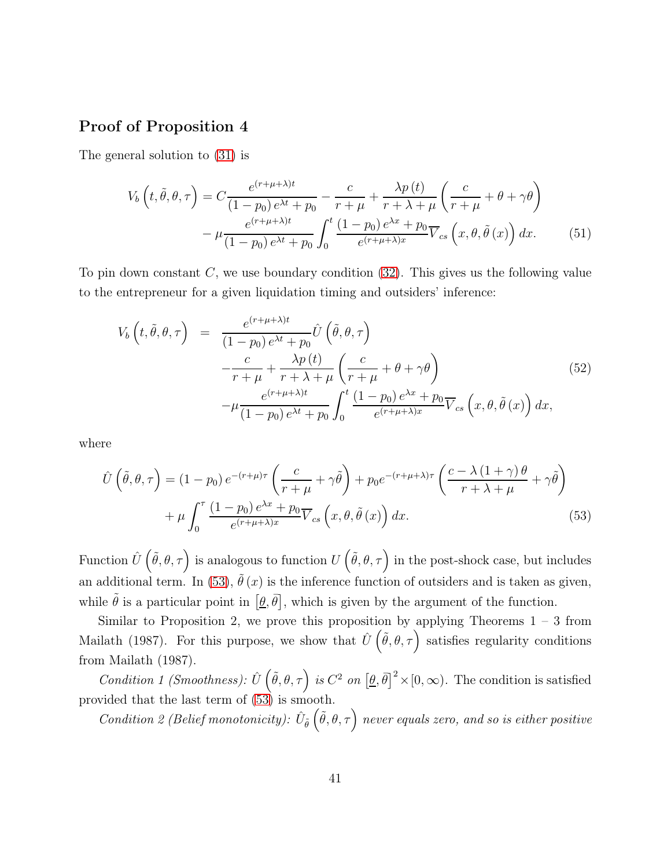### Proof of Proposition 4

The general solution to [\(31\)](#page-21-0) is

$$
V_b\left(t, \tilde{\theta}, \theta, \tau\right) = C \frac{e^{(r+\mu+\lambda)t}}{(1-p_0)e^{\lambda t} + p_0} - \frac{c}{r+\mu} + \frac{\lambda p\left(t\right)}{r+\lambda+\mu} \left(\frac{c}{r+\mu} + \theta + \gamma\theta\right) - \mu \frac{e^{(r+\mu+\lambda)t}}{(1-p_0)e^{\lambda t} + p_0} \int_0^t \frac{(1-p_0)e^{\lambda x} + p_0}{e^{(r+\mu+\lambda)x}} \overline{V}_{cs}\left(x, \theta, \tilde{\theta}\left(x\right)\right) dx. \tag{51}
$$

To pin down constant  $C$ , we use boundary condition  $(32)$ . This gives us the following value to the entrepreneur for a given liquidation timing and outsiders' inference:

$$
V_b\left(t, \tilde{\theta}, \theta, \tau\right) = \frac{e^{(r+\mu+\lambda)t}}{(1-p_0)e^{\lambda t} + p_0} \hat{U}\left(\tilde{\theta}, \theta, \tau\right)
$$
  

$$
-\frac{c}{r+\mu} + \frac{\lambda p(t)}{r+\lambda+\mu} \left(\frac{c}{r+\mu} + \theta + \gamma\theta\right)
$$
  

$$
-\mu \frac{e^{(r+\mu+\lambda)t}}{(1-p_0)e^{\lambda t} + p_0} \int_0^t \frac{(1-p_0)e^{\lambda x} + p_0}{e^{(r+\mu+\lambda)x}} \overline{V}_{cs}\left(x, \theta, \tilde{\theta}\left(x\right)\right) dx,
$$

$$
(52)
$$

where

<span id="page-40-0"></span>
$$
\hat{U}\left(\tilde{\theta},\theta,\tau\right) = (1-p_0) e^{-(r+\mu)\tau} \left(\frac{c}{r+\mu} + \gamma \tilde{\theta}\right) + p_0 e^{-(r+\mu+\lambda)\tau} \left(\frac{c-\lambda\left(1+\gamma\right)\theta}{r+\lambda+\mu} + \gamma \tilde{\theta}\right) + \mu \int_0^{\tau} \frac{(1-p_0) e^{\lambda x} + p_0}{e^{(r+\mu+\lambda)x}} \overline{V}_{cs}\left(x,\theta,\tilde{\theta}\left(x\right)\right) dx.
$$
\n(53)

Function  $\hat{U}(\tilde{\theta},\theta,\tau)$  is analogous to function  $U(\tilde{\theta},\theta,\tau)$  in the post-shock case, but includes an additional term. In [\(53\)](#page-40-0),  $\tilde{\theta}(x)$  is the inference function of outsiders and is taken as given, while  $\tilde{\theta}$  is a particular point in  $[\underline{\theta}, \overline{\theta}]$ , which is given by the argument of the function.

Similar to Proposition 2, we prove this proposition by applying Theorems  $1 - 3$  from Mailath (1987). For this purpose, we show that  $\hat{U}(\tilde{\theta}, \theta, \tau)$  satisfies regularity conditions from Mailath (1987).

Condition 1 (Smoothness):  $\hat{U}(\tilde{\theta}, \theta, \tau)$  is  $C^2$  on  $[\theta, \bar{\theta}]^2 \times [0, \infty)$ . The condition is satisfied provided that the last term of [\(53\)](#page-40-0) is smooth.

Condition 2 (Belief monotonicity):  $\hat{U}_{\tilde{\theta}}\left(\tilde{\theta},\theta,\tau\right)$  never equals zero, and so is either positive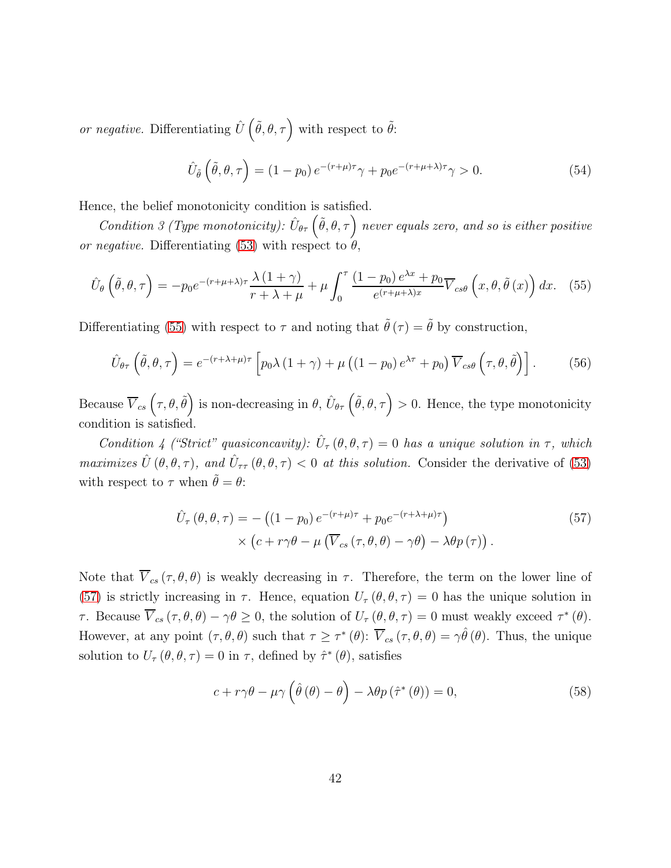or negative. Differentiating  $\hat{U}(\tilde{\theta}, \theta, \tau)$  with respect to  $\tilde{\theta}$ :

$$
\hat{U}_{\tilde{\theta}}\left(\tilde{\theta},\theta,\tau\right) = (1-p_0) e^{-(r+\mu)\tau} \gamma + p_0 e^{-(r+\mu+\lambda)\tau} \gamma > 0.
$$
\n(54)

Hence, the belief monotonicity condition is satisfied.

Condition 3 (Type monotonicity):  $\hat{U}_{\theta\tau}(\tilde{\theta},\theta,\tau)$  never equals zero, and so is either positive or negative. Differentiating [\(53\)](#page-40-0) with respect to  $\theta$ ,

<span id="page-41-0"></span>
$$
\hat{U}_{\theta}\left(\tilde{\theta},\theta,\tau\right) = -p_0 e^{-(r+\mu+\lambda)\tau} \frac{\lambda\left(1+\gamma\right)}{r+\lambda+\mu} + \mu \int_0^\tau \frac{\left(1-p_0\right)e^{\lambda x} + p_0}{e^{(r+\mu+\lambda)x}} \overline{V}_{cs\theta}\left(x,\theta,\tilde{\theta}\left(x\right)\right) dx. \tag{55}
$$

Differentiating [\(55\)](#page-41-0) with respect to  $\tau$  and noting that  $\tilde{\theta}(\tau) = \tilde{\theta}$  by construction,

$$
\hat{U}_{\theta\tau}\left(\tilde{\theta},\theta,\tau\right) = e^{-(r+\lambda+\mu)\tau}\left[p_0\lambda\left(1+\gamma\right)+\mu\left(\left(1-p_0\right)e^{\lambda\tau}+p_0\right)\overline{V}_{cs\theta}\left(\tau,\theta,\tilde{\theta}\right)\right].\tag{56}
$$

Because  $\overline{V}_{cs}(\tau,\theta,\tilde{\theta})$  is non-decreasing in  $\theta$ ,  $\hat{U}_{\theta\tau}(\tilde{\theta},\theta,\tau) > 0$ . Hence, the type monotonicity condition is satisfied.

Condition 4 ("Strict" quasiconcavity):  $\hat{U}_{\tau}(\theta, \theta, \tau) = 0$  has a unique solution in  $\tau$ , which maximizes  $\hat{U}(\theta, \theta, \tau)$ , and  $\hat{U}_{\tau\tau}(\theta, \theta, \tau) < 0$  at this solution. Consider the derivative of [\(53\)](#page-40-0) with respect to  $\tau$  when  $\tilde{\theta} = \theta$ :

<span id="page-41-1"></span>
$$
\hat{U}_{\tau}(\theta,\theta,\tau) = -\left((1-p_0)e^{-(r+\mu)\tau} + p_0e^{-(r+\lambda+\mu)\tau}\right) \times \left(c + r\gamma\theta - \mu\left(\overline{V}_{cs}(\tau,\theta,\theta) - \gamma\theta\right) - \lambda\theta p(\tau)\right).
$$
\n(57)

Note that  $\overline{V}_{cs}(\tau,\theta,\theta)$  is weakly decreasing in  $\tau$ . Therefore, the term on the lower line of [\(57\)](#page-41-1) is strictly increasing in  $\tau$ . Hence, equation  $U_{\tau}(\theta, \theta, \tau) = 0$  has the unique solution in *τ*. Because  $\overline{V}_{cs}(\tau,\theta,\theta) - \gamma\theta \ge 0$ , the solution of  $U_{\tau}(\theta,\theta,\tau) = 0$  must weakly exceed  $\tau^*(\theta)$ . However, at any point  $(\tau, \theta, \theta)$  such that  $\tau \geq \tau^*$  ( $\theta$ ):  $\overline{V}_{cs}(\tau, \theta, \theta) = \gamma \hat{\theta}(\theta)$ . Thus, the unique solution to  $U_{\tau}(\theta, \theta, \tau) = 0$  in  $\tau$ , defined by  $\hat{\tau}^*(\theta)$ , satisfies

$$
c + r\gamma\theta - \mu\gamma\left(\hat{\theta}\left(\theta\right) - \theta\right) - \lambda\theta p\left(\hat{\tau}^*\left(\theta\right)\right) = 0,\tag{58}
$$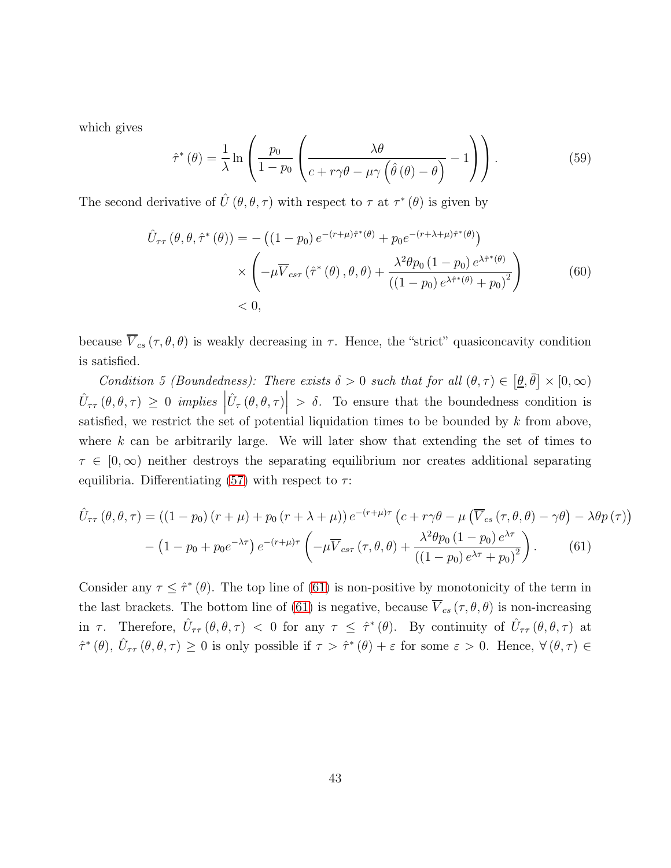which gives

$$
\hat{\tau}^*(\theta) = \frac{1}{\lambda} \ln \left( \frac{p_0}{1 - p_0} \left( \frac{\lambda \theta}{c + r\gamma \theta - \mu \gamma \left( \hat{\theta}(\theta) - \theta \right)} - 1 \right) \right). \tag{59}
$$

The second derivative of  $\hat{U}(\theta, \theta, \tau)$  with respect to  $\tau$  at  $\tau^*(\theta)$  is given by

$$
\hat{U}_{\tau\tau}(\theta,\theta,\hat{\tau}^*(\theta)) = -((1-p_0)e^{-(r+\mu)\hat{\tau}^*(\theta)} + p_0e^{-(r+\lambda+\mu)\hat{\tau}^*(\theta)})
$$
\n
$$
\times \left( -\mu \overline{V}_{cs\tau}(\hat{\tau}^*(\theta),\theta,\theta) + \frac{\lambda^2\theta p_0(1-p_0)e^{\lambda\hat{\tau}^*(\theta)}}{((1-p_0)e^{\lambda\hat{\tau}^*(\theta)}+p_0)^2} \right) \tag{60}
$$
\n
$$
< 0,
$$

because  $\overline{V}_{cs}(\tau, \theta, \theta)$  is weakly decreasing in  $\tau$ . Hence, the "strict" quasiconcavity condition is satisfied.

Condition 5 (Boundedness): There exists  $\delta > 0$  such that for all  $(\theta, \tau) \in [\underline{\theta}, \overline{\theta}] \times [0, \infty)$  $\hat{U}_{\tau\tau}(\theta, \theta, \tau) \geq 0 \text{ implies }$  $\hat{U}_{\tau}\left(\theta,\theta,\tau\right)$  $> \delta$ . To ensure that the boundedness condition is satisfied, we restrict the set of potential liquidation times to be bounded by  $k$  from above, where  $k$  can be arbitrarily large. We will later show that extending the set of times to  $\tau \in [0,\infty)$  neither destroys the separating equilibrium nor creates additional separating equilibria. Differentiating [\(57\)](#page-41-1) with respect to  $\tau$ :

<span id="page-42-0"></span>
$$
\hat{U}_{\tau\tau}(\theta,\theta,\tau) = \left(\left(1-p_0\right)\left(r+\mu\right) + p_0\left(r+\lambda+\mu\right)\right)e^{-\left(r+\mu\right)\tau}\left(c+r\gamma\theta - \mu\left(\overline{V}_{cs}(\tau,\theta,\theta) - \gamma\theta\right) - \lambda\theta p(\tau)\right) \n- \left(1-p_0 + p_0e^{-\lambda\tau}\right)e^{-\left(r+\mu\right)\tau}\left(-\mu\overline{V}_{cs\tau}(\tau,\theta,\theta) + \frac{\lambda^2\theta p_0\left(1-p_0\right)e^{\lambda\tau}}{\left(\left(1-p_0\right)e^{\lambda\tau} + p_0\right)^2}\right).
$$
\n(61)

Consider any  $\tau \leq \hat{\tau}^*(\theta)$ . The top line of [\(61\)](#page-42-0) is non-positive by monotonicity of the term in the last brackets. The bottom line of [\(61\)](#page-42-0) is negative, because  $\overline{V}_{cs}(\tau,\theta,\theta)$  is non-increasing in  $\tau$ . Therefore,  $\hat{U}_{\tau\tau}(\theta,\theta,\tau) < 0$  for any  $\tau \leq \hat{\tau}^*(\theta)$ . By continuity of  $\hat{U}_{\tau\tau}(\theta,\theta,\tau)$  at  $\hat{\tau}^*(\theta), \hat{U}_{\tau\tau}(\theta, \theta, \tau) \geq 0$  is only possible if  $\tau > \hat{\tau}^*(\theta) + \varepsilon$  for some  $\varepsilon > 0$ . Hence,  $\forall (\theta, \tau) \in$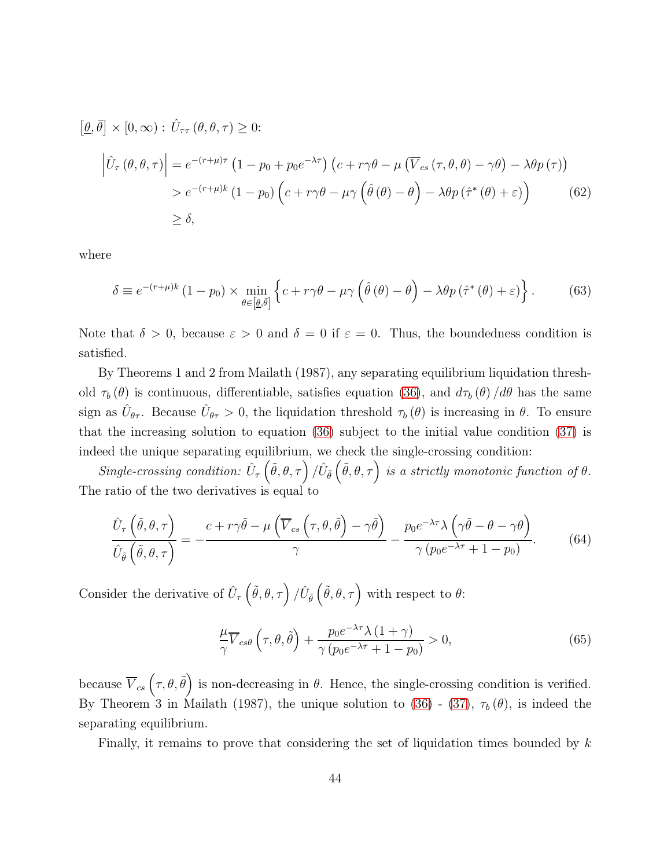$$
\left[\underline{\theta}, \overline{\theta}\right] \times [0, \infty) : \hat{U}_{\tau\tau} \left(\theta, \theta, \tau\right) \ge 0:
$$
\n
$$
\left|\hat{U}_{\tau} \left(\theta, \theta, \tau\right)\right| = e^{-(r+\mu)\tau} \left(1 - p_0 + p_0 e^{-\lambda \tau}\right) \left(c + r\gamma \theta - \mu \left(\overline{V}_{cs} \left(\tau, \theta, \theta\right) - \gamma \theta\right) - \lambda \theta p \left(\tau\right)\right)
$$
\n
$$
> e^{-(r+\mu)k} \left(1 - p_0\right) \left(c + r\gamma \theta - \mu \gamma \left(\hat{\theta} \left(\theta\right) - \theta\right) - \lambda \theta p \left(\hat{\tau}^* \left(\theta\right) + \varepsilon\right)\right)
$$
\n
$$
\ge \delta,
$$
\n(62)

where

$$
\delta \equiv e^{-(r+\mu)k} \left(1 - p_0\right) \times \min_{\theta \in \left[\underline{\theta}, \overline{\theta}\right]} \left\{c + r\gamma\theta - \mu\gamma \left(\hat{\theta}\left(\theta\right) - \theta\right) - \lambda\theta p \left(\hat{\tau}^*\left(\theta\right) + \varepsilon\right)\right\}.
$$
 (63)

Note that  $\delta > 0$ , because  $\varepsilon > 0$  and  $\delta = 0$  if  $\varepsilon = 0$ . Thus, the boundedness condition is satisfied.

By Theorems 1 and 2 from Mailath (1987), any separating equilibrium liquidation threshold  $\tau_b(\theta)$  is continuous, differentiable, satisfies equation [\(36\)](#page-22-1), and  $d\tau_b(\theta) / d\theta$  has the same sign as  $\hat{U}_{\theta\tau}$ . Because  $\hat{U}_{\theta\tau} > 0$ , the liquidation threshold  $\tau_b(\theta)$  is increasing in  $\theta$ . To ensure that the increasing solution to equation [\(36\)](#page-22-1) subject to the initial value condition [\(37\)](#page-22-2) is indeed the unique separating equilibrium, we check the single-crossing condition:

Single-crossing condition:  $\hat{U}_{\tau}(\tilde{\theta},\theta,\tau)/\hat{U}_{\tilde{\theta}}(\tilde{\theta},\theta,\tau)$  is a strictly monotonic function of  $\theta$ . The ratio of the two derivatives is equal to

$$
\frac{\hat{U}_{\tau}\left(\tilde{\theta},\theta,\tau\right)}{\hat{U}_{\tilde{\theta}}\left(\tilde{\theta},\theta,\tau\right)} = -\frac{c + r\gamma\tilde{\theta} - \mu\left(\overline{V}_{cs}\left(\tau,\theta,\tilde{\theta}\right) - \gamma\tilde{\theta}\right)}{\gamma} - \frac{p_0e^{-\lambda\tau}\lambda\left(\gamma\tilde{\theta} - \theta - \gamma\theta\right)}{\gamma\left(p_0e^{-\lambda\tau} + 1 - p_0\right)}.
$$
(64)

Consider the derivative of  $\hat{U}_{\tau}(\tilde{\theta}, \theta, \tau) / \hat{U}_{\tilde{\theta}}(\tilde{\theta}, \theta, \tau)$  with respect to  $\theta$ :

$$
\frac{\mu}{\gamma} \overline{V}_{cs\theta} \left(\tau, \theta, \tilde{\theta}\right) + \frac{p_0 e^{-\lambda \tau} \lambda \left(1 + \gamma\right)}{\gamma \left(p_0 e^{-\lambda \tau} + 1 - p_0\right)} > 0,\tag{65}
$$

because  $\overline{V}_{cs}(\tau,\theta,\tilde{\theta})$  is non-decreasing in  $\theta$ . Hence, the single-crossing condition is verified. By Theorem 3 in Mailath (1987), the unique solution to [\(36\)](#page-22-1) - [\(37\)](#page-22-2),  $\tau_b(\theta)$ , is indeed the separating equilibrium.

Finally, it remains to prove that considering the set of liquidation times bounded by  $k$